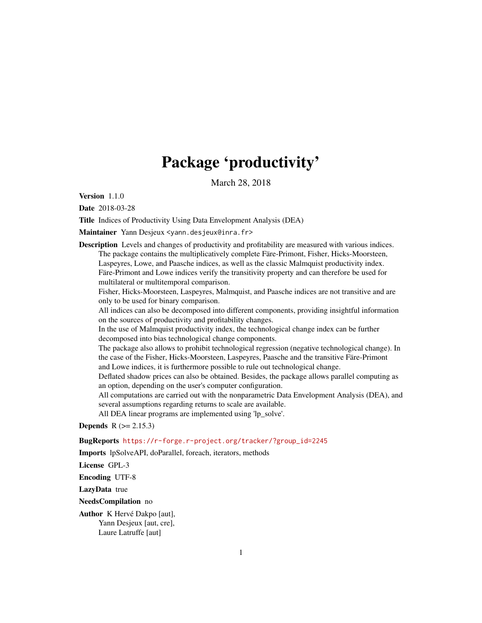# Package 'productivity'

March 28, 2018

Version 1.1.0

Date 2018-03-28

Title Indices of Productivity Using Data Envelopment Analysis (DEA)

Maintainer Yann Desjeux <yann.desjeux@inra.fr>

Description Levels and changes of productivity and profitability are measured with various indices. The package contains the multiplicatively complete Färe-Primont, Fisher, Hicks-Moorsteen, Laspeyres, Lowe, and Paasche indices, as well as the classic Malmquist productivity index. Färe-Primont and Lowe indices verify the transitivity property and can therefore be used for multilateral or multitemporal comparison.

Fisher, Hicks-Moorsteen, Laspeyres, Malmquist, and Paasche indices are not transitive and are only to be used for binary comparison.

All indices can also be decomposed into different components, providing insightful information on the sources of productivity and profitability changes.

In the use of Malmquist productivity index, the technological change index can be further decomposed into bias technological change components.

The package also allows to prohibit technological regression (negative technological change). In the case of the Fisher, Hicks-Moorsteen, Laspeyres, Paasche and the transitive Färe-Primont and Lowe indices, it is furthermore possible to rule out technological change.

Deflated shadow prices can also be obtained. Besides, the package allows parallel computing as an option, depending on the user's computer configuration.

All computations are carried out with the nonparametric Data Envelopment Analysis (DEA), and several assumptions regarding returns to scale are available.

All DEA linear programs are implemented using 'lp\_solve'.

**Depends**  $R$  ( $> = 2.15.3$ )

BugReports [https://r-forge.r-project.org/tracker/?group\\_id=2245](https://r-forge.r-project.org/tracker/?group_id=2245)

Imports lpSolveAPI, doParallel, foreach, iterators, methods

License GPL-3

Encoding UTF-8

LazyData true

NeedsCompilation no

Author K Hervé Dakpo [aut], Yann Desjeux [aut, cre], Laure Latruffe [aut]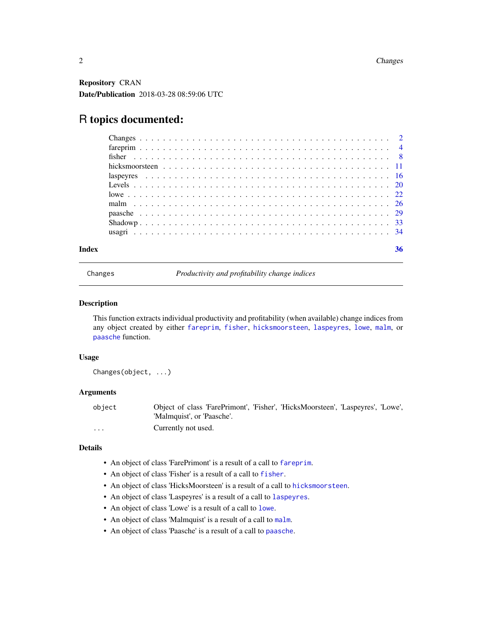<span id="page-1-0"></span>Repository CRAN Date/Publication 2018-03-28 08:59:06 UTC

## R topics documented:

|  |  |  |  |  |  |  |  |  |  |  |  |  |  |  |  |  | 36 |
|--|--|--|--|--|--|--|--|--|--|--|--|--|--|--|--|--|----|
|  |  |  |  |  |  |  |  |  |  |  |  |  |  |  |  |  |    |
|  |  |  |  |  |  |  |  |  |  |  |  |  |  |  |  |  |    |
|  |  |  |  |  |  |  |  |  |  |  |  |  |  |  |  |  |    |
|  |  |  |  |  |  |  |  |  |  |  |  |  |  |  |  |  |    |
|  |  |  |  |  |  |  |  |  |  |  |  |  |  |  |  |  |    |
|  |  |  |  |  |  |  |  |  |  |  |  |  |  |  |  |  |    |
|  |  |  |  |  |  |  |  |  |  |  |  |  |  |  |  |  |    |
|  |  |  |  |  |  |  |  |  |  |  |  |  |  |  |  |  |    |
|  |  |  |  |  |  |  |  |  |  |  |  |  |  |  |  |  |    |
|  |  |  |  |  |  |  |  |  |  |  |  |  |  |  |  |  |    |
|  |  |  |  |  |  |  |  |  |  |  |  |  |  |  |  |  |    |

<span id="page-1-1"></span>Changes *Productivity and profitability change indices*

#### Description

This function extracts individual productivity and profitability (when available) change indices from any object created by either [fareprim](#page-3-1), [fisher](#page-7-1), [hicksmoorsteen](#page-10-1), [laspeyres](#page-15-1), [lowe](#page-21-1), [malm](#page-25-1), or [paasche](#page-28-1) function.

#### Usage

Changes(object, ...)

#### Arguments

object Object of class 'FarePrimont', 'Fisher', 'HicksMoorsteen', 'Laspeyres', 'Lowe', 'Malmquist', or 'Paasche'. ... Currently not used.

#### Details

- An object of class 'FarePrimont' is a result of a call to [fareprim](#page-3-1).
- An object of class 'Fisher' is a result of a call to [fisher](#page-7-1).
- An object of class 'HicksMoorsteen' is a result of a call to [hicksmoorsteen](#page-10-1).
- An object of class 'Laspeyres' is a result of a call to [laspeyres](#page-15-1).
- An object of class 'Lowe' is a result of a call to [lowe](#page-21-1).
- An object of class 'Malmquist' is a result of a call to [malm](#page-25-1).
- An object of class 'Paasche' is a result of a call to [paasche](#page-28-1).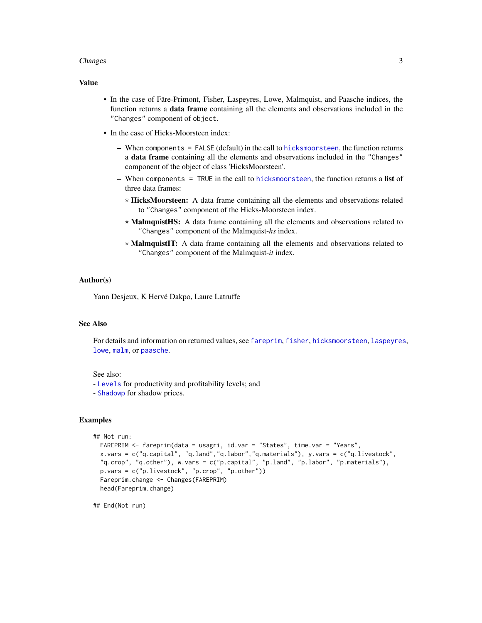#### <span id="page-2-0"></span>**Changes** 3

#### Value

- In the case of Färe-Primont, Fisher, Laspeyres, Lowe, Malmquist, and Paasche indices, the function returns a data frame containing all the elements and observations included in the "Changes" component of object.
- In the case of Hicks-Moorsteen index:
	- $-$  When components = FALSE (default) in the call to [hicksmoorsteen](#page-10-1), the function returns a data frame containing all the elements and observations included in the "Changes" component of the object of class 'HicksMoorsteen'.
	- $-$  When components = TRUE in the call to [hicksmoorsteen](#page-10-1), the function returns a list of three data frames:
		- \* HicksMoorsteen: A data frame containing all the elements and observations related to "Changes" component of the Hicks-Moorsteen index.
		- \* MalmquistHS: A data frame containing all the elements and observations related to "Changes" component of the Malmquist-*hs* index.
		- \* MalmquistIT: A data frame containing all the elements and observations related to "Changes" component of the Malmquist-*it* index.

#### Author(s)

Yann Desjeux, K Hervé Dakpo, Laure Latruffe

#### See Also

For details and information on returned values, see [fareprim](#page-3-1), [fisher](#page-7-1), [hicksmoorsteen](#page-10-1), [laspeyres](#page-15-1), [lowe](#page-21-1), [malm](#page-25-1), or [paasche](#page-28-1).

#### See also:

- [Levels](#page-19-1) for productivity and profitability levels; and
- [Shadowp](#page-32-1) for shadow prices.

#### Examples

```
## Not run:
 FAREPRIM <- fareprim(data = usagri, id.var = "States", time.var = "Years",
 x.vars = c("q.capital", "q.land","q.labor","q.materials"), y.vars = c("q.livestock",
 "q.crop", "q.other"), w.vars = c("p.capital", "p.land", "p.labor", "p.materials"),
 p.vars = c("p.livestock", "p.crop", "p.other"))
 Fareprim.change <- Changes(FAREPRIM)
 head(Fareprim.change)
```
## End(Not run)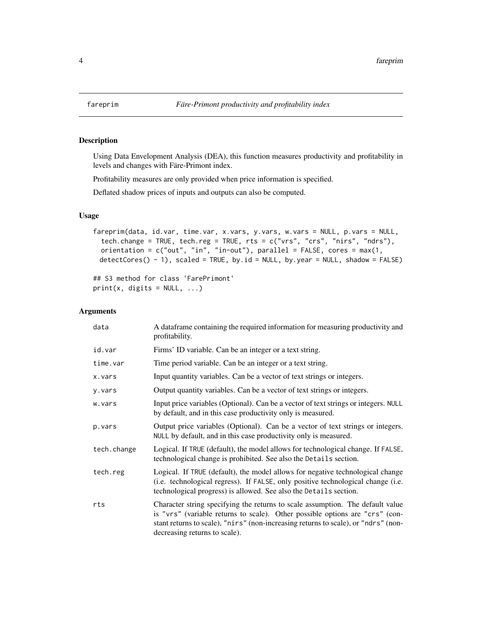<span id="page-3-1"></span><span id="page-3-0"></span>

#### Description

Using Data Envelopment Analysis (DEA), this function measures productivity and profitability in levels and changes with Färe-Primont index.

Profitability measures are only provided when price information is specified.

Deflated shadow prices of inputs and outputs can also be computed.

#### Usage

```
fareprim(data, id.var, time.var, x.vars, y.vars, w.vars = NULL, p.vars = NULL,
  tech.change = TRUE, tech.reg = TRUE, rts = c("vrs", "crs", "nirs", "ndrs"),
 orientation = c("out", "in", "in-out"), parallel = FALSE, cores = max(1,
 detectCores() - 1), scaled = TRUE, by.id = NULL, by.year = NULL, shadow = FALSE)
```
## S3 method for class 'FarePrimont'  $print(x, \text{ digits} = NULL, ...)$ 

#### Arguments

| data        | A dataframe containing the required information for measuring productivity and<br>profitability.                                                                                                                                                                                      |
|-------------|---------------------------------------------------------------------------------------------------------------------------------------------------------------------------------------------------------------------------------------------------------------------------------------|
| id.var      | Firms' ID variable. Can be an integer or a text string.                                                                                                                                                                                                                               |
| time.var    | Time period variable. Can be an integer or a text string.                                                                                                                                                                                                                             |
| x.vars      | Input quantity variables. Can be a vector of text strings or integers.                                                                                                                                                                                                                |
| y.vars      | Output quantity variables. Can be a vector of text strings or integers.                                                                                                                                                                                                               |
| w.vars      | Input price variables (Optional). Can be a vector of text strings or integers. NULL<br>by default, and in this case productivity only is measured.                                                                                                                                    |
| p.vars      | Output price variables (Optional). Can be a vector of text strings or integers.<br>NULL by default, and in this case productivity only is measured.                                                                                                                                   |
| tech.change | Logical. If TRUE (default), the model allows for technological change. If FALSE,<br>technological change is prohibited. See also the Details section.                                                                                                                                 |
| tech.reg    | Logical. If TRUE (default), the model allows for negative technological change<br>(i.e. technological regress). If FALSE, only positive technological change (i.e.<br>technological progress) is allowed. See also the Details section.                                               |
| rts         | Character string specifying the returns to scale assumption. The default value<br>is "vrs" (variable returns to scale). Other possible options are "crs" (con-<br>stant returns to scale), "nirs" (non-increasing returns to scale), or "ndrs" (non-<br>decreasing returns to scale). |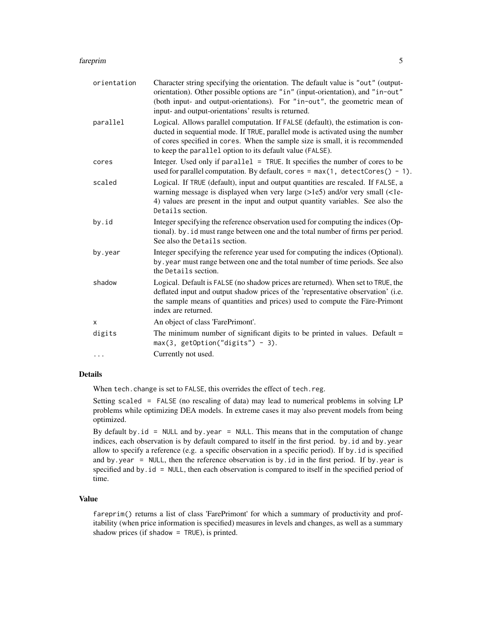#### fareprim 5

| orientation | Character string specifying the orientation. The default value is "out" (output-<br>orientation). Other possible options are "in" (input-orientation), and "in-out"<br>(both input- and output-orientations). For "in-out", the geometric mean of<br>input- and output-orientations' results is returned.         |
|-------------|-------------------------------------------------------------------------------------------------------------------------------------------------------------------------------------------------------------------------------------------------------------------------------------------------------------------|
| parallel    | Logical. Allows parallel computation. If FALSE (default), the estimation is con-<br>ducted in sequential mode. If TRUE, parallel mode is activated using the number<br>of cores specified in cores. When the sample size is small, it is recommended<br>to keep the parallel option to its default value (FALSE). |
| cores       | Integer. Used only if parallel = TRUE. It specifies the number of cores to be<br>used for parallel computation. By default, cores = $max(1, detectCores() - 1)$ .                                                                                                                                                 |
| scaled      | Logical. If TRUE (default), input and output quantities are rescaled. If FALSE, a<br>warning message is displayed when very large (>1e5) and/or very small (<1e-<br>4) values are present in the input and output quantity variables. See also the<br>Details section.                                            |
| by.id       | Integer specifying the reference observation used for computing the indices (Op-<br>tional). by . id must range between one and the total number of firms per period.<br>See also the Details section.                                                                                                            |
| by.year     | Integer specifying the reference year used for computing the indices (Optional).<br>by. year must range between one and the total number of time periods. See also<br>the Details section.                                                                                                                        |
| shadow      | Logical. Default is FALSE (no shadow prices are returned). When set to TRUE, the<br>deflated input and output shadow prices of the 'representative observation' (i.e.<br>the sample means of quantities and prices) used to compute the Färe-Primont<br>index are returned.                                       |
| X           | An object of class 'FarePrimont'.                                                                                                                                                                                                                                                                                 |
| digits      | The minimum number of significant digits to be printed in values. Default $=$<br>$max(3, getOption("digits") - 3).$                                                                                                                                                                                               |
| $\cdots$    | Currently not used.                                                                                                                                                                                                                                                                                               |
|             |                                                                                                                                                                                                                                                                                                                   |

#### Details

When tech.change is set to FALSE, this overrides the effect of tech.reg.

Setting scaled = FALSE (no rescaling of data) may lead to numerical problems in solving LP problems while optimizing DEA models. In extreme cases it may also prevent models from being optimized.

By default by.id = NULL and by.year = NULL. This means that in the computation of change indices, each observation is by default compared to itself in the first period. by.id and by.year allow to specify a reference (e.g. a specific observation in a specific period). If by.id is specified and by.year = NULL, then the reference observation is by.id in the first period. If by.year is specified and by.id = NULL, then each observation is compared to itself in the specified period of time.

#### Value

fareprim() returns a list of class 'FarePrimont' for which a summary of productivity and profitability (when price information is specified) measures in levels and changes, as well as a summary shadow prices (if shadow = TRUE), is printed.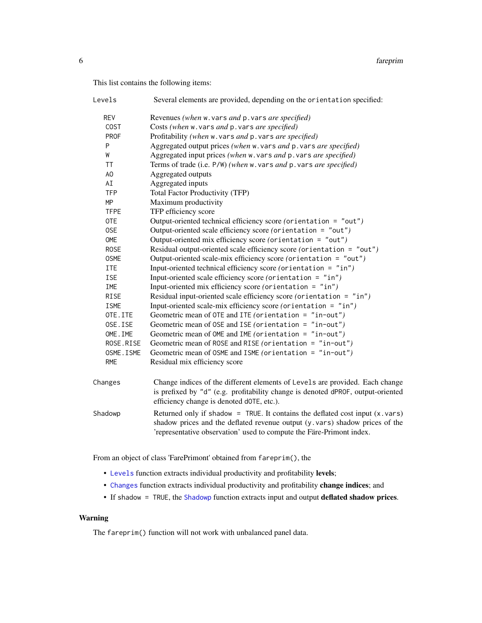<span id="page-5-0"></span>This list contains the following items:

| Levels      | Several elements are provided, depending on the orientation specified:                                                                                                                                       |
|-------------|--------------------------------------------------------------------------------------------------------------------------------------------------------------------------------------------------------------|
| <b>REV</b>  | Revenues (when w. vars and p. vars are specified)                                                                                                                                                            |
| <b>COST</b> | Costs (when w. vars and p. vars are specified)                                                                                                                                                               |
| <b>PROF</b> | Profitability (when w. vars and p. vars are specified)                                                                                                                                                       |
| P           | Aggregated output prices (when w. vars and p. vars are specified)                                                                                                                                            |
| W           | Aggregated input prices (when w. vars and p. vars are specified)                                                                                                                                             |
| <b>TT</b>   | Terms of trade (i.e. P/W) (when w. vars and p. vars are specified)                                                                                                                                           |
| AO          | Aggregated outputs                                                                                                                                                                                           |
| AI          | Aggregated inputs                                                                                                                                                                                            |
| <b>TFP</b>  | Total Factor Productivity (TFP)                                                                                                                                                                              |
| <b>MP</b>   | Maximum productivity                                                                                                                                                                                         |
| <b>TFPE</b> | TFP efficiency score                                                                                                                                                                                         |
| 0TE         | Output-oriented technical efficiency score (orientation = "out")                                                                                                                                             |
| 0SE         | Output-oriented scale efficiency score (orientation = "out")                                                                                                                                                 |
| OME         | Output-oriented mix efficiency score (orientation = "out")                                                                                                                                                   |
| <b>ROSE</b> | Residual output-oriented scale efficiency score (orientation = "out")                                                                                                                                        |
| <b>OSME</b> | Output-oriented scale-mix efficiency score (orientation = "out")                                                                                                                                             |
| <b>ITE</b>  | Input-oriented technical efficiency score (orientation = "in")                                                                                                                                               |
| <b>ISE</b>  | Input-oriented scale efficiency score (orientation = "in")                                                                                                                                                   |
| IME         | Input-oriented mix efficiency score (orientation = $"in"$ )                                                                                                                                                  |
| <b>RISE</b> | Residual input-oriented scale efficiency score (orientation = "in")                                                                                                                                          |
| <b>ISME</b> | Input-oriented scale-mix efficiency score (orientation = "in")                                                                                                                                               |
| OTE.ITE     | Geometric mean of OTE and ITE (orientation = $"in-out"$ )                                                                                                                                                    |
| OSE.ISE     | Geometric mean of OSE and ISE (orientation = $"in-out"$ )                                                                                                                                                    |
| OME. IME    | Geometric mean of OME and IME (orientation = $"in-out"$ )                                                                                                                                                    |
| ROSE.RISE   | Geometric mean of ROSE and RISE (orientation = "in-out")                                                                                                                                                     |
| OSME. ISME  | Geometric mean of OSME and ISME (orientation = "in-out")                                                                                                                                                     |
| <b>RME</b>  | Residual mix efficiency score                                                                                                                                                                                |
| Changes     | Change indices of the different elements of Levels are provided. Each change<br>is prefixed by "d" (e.g. profitability change is denoted dPROF, output-oriented<br>efficiency change is denoted dOTE, etc.). |
| Shadowp     | Returned only if shadow = TRUE. It contains the deflated cost input $(x \cdot x)$<br>shadow prices and the deflated revenue output (y. vars) shadow prices of the                                            |

From an object of class 'FarePrimont' obtained from fareprim(), the

- [Levels](#page-19-1) function extracts individual productivity and profitability levels;
- [Changes](#page-1-1) function extracts individual productivity and profitability change indices; and
- If shadow = TRUE, the [Shadowp](#page-32-1) function extracts input and output deflated shadow prices.

'representative observation' used to compute the Färe-Primont index.

#### Warning

The fareprim() function will not work with unbalanced panel data.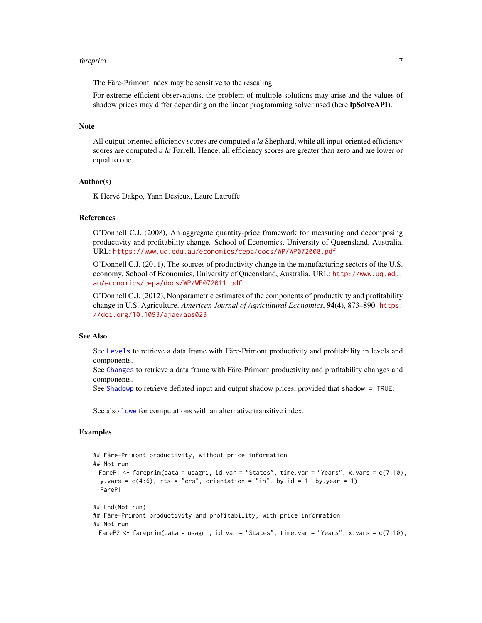#### <span id="page-6-0"></span>fareprim and the contract of the contract of the contract of the contract of the contract of the contract of the contract of the contract of the contract of the contract of the contract of the contract of the contract of t

The Färe-Primont index may be sensitive to the rescaling.

For extreme efficient observations, the problem of multiple solutions may arise and the values of shadow prices may differ depending on the linear programming solver used (here lpSolveAPI).

#### **Note**

All output-oriented efficiency scores are computed *a la* Shephard, while all input-oriented efficiency scores are computed *a la* Farrell. Hence, all efficiency scores are greater than zero and are lower or equal to one.

#### Author(s)

K Hervé Dakpo, Yann Desjeux, Laure Latruffe

#### References

O'Donnell C.J. (2008), An aggregate quantity-price framework for measuring and decomposing productivity and profitability change. School of Economics, University of Queensland, Australia. URL: <https://www.uq.edu.au/economics/cepa/docs/WP/WP072008.pdf>

O'Donnell C.J. (2011), The sources of productivity change in the manufacturing sectors of the U.S. economy. School of Economics, University of Queensland, Australia. URL: [http://www.uq.edu.](http://www.uq.edu.au/economics/cepa/docs/WP/WP072011.pdf) [au/economics/cepa/docs/WP/WP072011.pdf](http://www.uq.edu.au/economics/cepa/docs/WP/WP072011.pdf)

O'Donnell C.J. (2012), Nonparametric estimates of the components of productivity and profitability change in U.S. Agriculture. *American Journal of Agricultural Economics*, 94(4), 873–890. [https:](https://doi.org/10.1093/ajae/aas023) [//doi.org/10.1093/ajae/aas023](https://doi.org/10.1093/ajae/aas023)

#### See Also

See [Levels](#page-19-1) to retrieve a data frame with Färe-Primont productivity and profitability in levels and components.

See [Changes](#page-1-1) to retrieve a data frame with Färe-Primont productivity and profitability changes and components.

See [Shadowp](#page-32-1) to retrieve deflated input and output shadow prices, provided that shadow = TRUE.

See also [lowe](#page-21-1) for computations with an alternative transitive index.

#### Examples

```
## Färe-Primont productivity, without price information
## Not run:
 FareP1 <- fareprim(data = usagri, id.var = "States", time.var = "Years", x.vars = c(7:10),
 y.vars = c(4:6), rts = "crs", orientation = "in", by.id = 1, by.year = 1)
 FareP1
## End(Not run)
## Färe-Primont productivity and profitability, with price information
## Not run:
 FareP2 <- fareprim(data = usagri, id.var = "States", time.var = "Years", x.vars = c(7:10),
```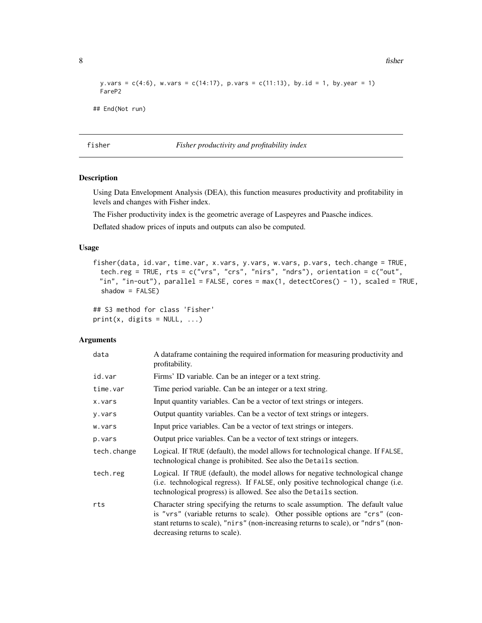8 fisher and the state of the state of the state of the state of the state of the state of the state of the state of the state of the state of the state of the state of the state of the state of the state of the state of t

```
y.vars = c(4:6), w.vars = c(14:17), p.vars = c(11:13), by.id = 1, by.year = 1)
 FareP2
## End(Not run)
```
<span id="page-7-1"></span>fisher *Fisher productivity and profitability index*

#### Description

Using Data Envelopment Analysis (DEA), this function measures productivity and profitability in levels and changes with Fisher index.

The Fisher productivity index is the geometric average of Laspeyres and Paasche indices.

Deflated shadow prices of inputs and outputs can also be computed.

#### Usage

```
fisher(data, id.var, time.var, x.vars, y.vars, w.vars, p.vars, tech.change = TRUE,
 tech.reg = TRUE, rts = c("vrs", "crs", "nirs", "ndrs"), orientation = c("out",
 "in", "in-out"), parallel = FALSE, cores = max(1, detectCores() - 1), scaled = TRUE,
  shadow = FALSE)
```
## S3 method for class 'Fisher'  $print(x, \text{ digits} = NULL, ...)$ 

#### Arguments

| data        | A data frame containing the required information for measuring productivity and<br>profitability.                                                                                                                                                                                     |
|-------------|---------------------------------------------------------------------------------------------------------------------------------------------------------------------------------------------------------------------------------------------------------------------------------------|
| id.var      | Firms' ID variable. Can be an integer or a text string.                                                                                                                                                                                                                               |
| time.var    | Time period variable. Can be an integer or a text string.                                                                                                                                                                                                                             |
| x.vars      | Input quantity variables. Can be a vector of text strings or integers.                                                                                                                                                                                                                |
| y.vars      | Output quantity variables. Can be a vector of text strings or integers.                                                                                                                                                                                                               |
| w.vars      | Input price variables. Can be a vector of text strings or integers.                                                                                                                                                                                                                   |
| p.vars      | Output price variables. Can be a vector of text strings or integers.                                                                                                                                                                                                                  |
| tech.change | Logical. If TRUE (default), the model allows for technological change. If FALSE,<br>technological change is prohibited. See also the Details section.                                                                                                                                 |
| tech.reg    | Logical. If TRUE (default), the model allows for negative technological change<br>(i.e. technological regress). If FALSE, only positive technological change (i.e.<br>technological progress) is allowed. See also the Details section.                                               |
| rts         | Character string specifying the returns to scale assumption. The default value<br>is "vrs" (variable returns to scale). Other possible options are "crs" (con-<br>stant returns to scale), "nirs" (non-increasing returns to scale), or "ndrs" (non-<br>decreasing returns to scale). |

<span id="page-7-0"></span>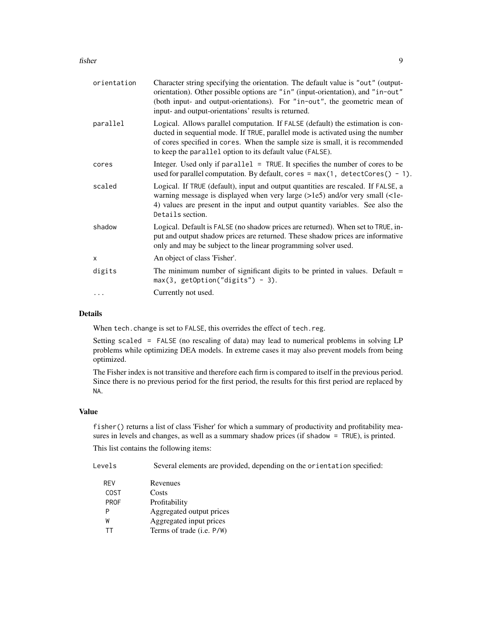#### fisher 9

| orientation | Character string specifying the orientation. The default value is "out" (output-<br>orientation). Other possible options are "in" (input-orientation), and "in-out"<br>(both input- and output-orientations). For "in-out", the geometric mean of<br>input- and output-orientations' results is returned.        |
|-------------|------------------------------------------------------------------------------------------------------------------------------------------------------------------------------------------------------------------------------------------------------------------------------------------------------------------|
| parallel    | Logical. Allows parallel computation. If FALSE (default) the estimation is con-<br>ducted in sequential mode. If TRUE, parallel mode is activated using the number<br>of cores specified in cores. When the sample size is small, it is recommended<br>to keep the parallel option to its default value (FALSE). |
| cores       | Integer. Used only if $parallel = TRUE$ . It specifies the number of cores to be<br>used for parallel computation. By default, cores = $max(1, detectCores() - 1)$ .                                                                                                                                             |
| scaled      | Logical. If TRUE (default), input and output quantities are rescaled. If FALSE, a<br>warning message is displayed when very large (>1e5) and/or very small (<1e-<br>4) values are present in the input and output quantity variables. See also the<br>Details section.                                           |
| shadow      | Logical. Default is FALSE (no shadow prices are returned). When set to TRUE, in-<br>put and output shadow prices are returned. These shadow prices are informative<br>only and may be subject to the linear programming solver used.                                                                             |
| X           | An object of class 'Fisher'.                                                                                                                                                                                                                                                                                     |
| digits      | The minimum number of significant digits to be printed in values. Default $=$<br>$max(3, getOption("digits") - 3).$                                                                                                                                                                                              |
|             | Currently not used.                                                                                                                                                                                                                                                                                              |
|             |                                                                                                                                                                                                                                                                                                                  |

#### Details

When tech.change is set to FALSE, this overrides the effect of tech.reg.

Setting scaled = FALSE (no rescaling of data) may lead to numerical problems in solving LP problems while optimizing DEA models. In extreme cases it may also prevent models from being optimized.

The Fisher index is not transitive and therefore each firm is compared to itself in the previous period. Since there is no previous period for the first period, the results for this first period are replaced by NA.

#### Value

fisher() returns a list of class 'Fisher' for which a summary of productivity and profitability measures in levels and changes, as well as a summary shadow prices (if shadow = TRUE), is printed.

This list contains the following items:

| Levels      | Several elements are provided, depending on the orientation specified: |
|-------------|------------------------------------------------------------------------|
| <b>REV</b>  | Revenues                                                               |
| <b>COST</b> | Costs                                                                  |
| <b>PROF</b> | Profitability                                                          |
| P           | Aggregated output prices                                               |
| W           | Aggregated input prices                                                |
| ТT          | Terms of trade (i.e. P/W)                                              |
|             |                                                                        |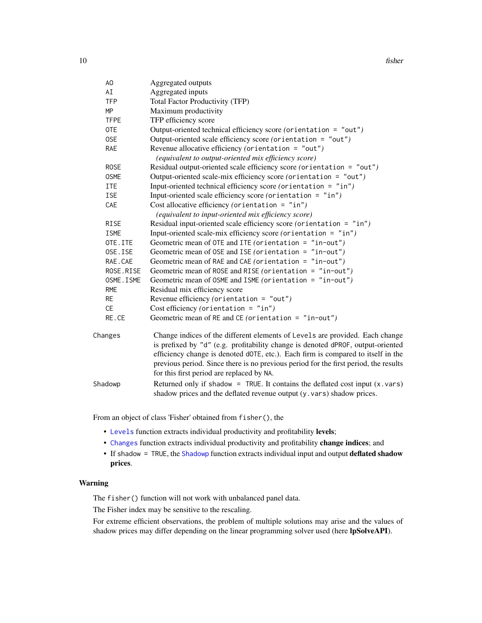<span id="page-9-0"></span>10 fisher and the state of the state of the state of the state of the state of the state of the state of the state of the state of the state of the state of the state of the state of the state of the state of the state of

| AO          | Aggregated outputs                                                                                                                                                                                                                                                                                                                                                                       |
|-------------|------------------------------------------------------------------------------------------------------------------------------------------------------------------------------------------------------------------------------------------------------------------------------------------------------------------------------------------------------------------------------------------|
| AI          | Aggregated inputs                                                                                                                                                                                                                                                                                                                                                                        |
| <b>TFP</b>  | <b>Total Factor Productivity (TFP)</b>                                                                                                                                                                                                                                                                                                                                                   |
| <b>MP</b>   | Maximum productivity                                                                                                                                                                                                                                                                                                                                                                     |
| <b>TFPE</b> | TFP efficiency score                                                                                                                                                                                                                                                                                                                                                                     |
| <b>OTE</b>  | Output-oriented technical efficiency score (orientation = "out")                                                                                                                                                                                                                                                                                                                         |
| 0SE         | Output-oriented scale efficiency score (orientation = "out")                                                                                                                                                                                                                                                                                                                             |
| <b>RAE</b>  | Revenue allocative efficiency (orientation = "out")<br>(equivalent to output-oriented mix efficiency score)                                                                                                                                                                                                                                                                              |
| <b>ROSE</b> | Residual output-oriented scale efficiency score (orientation = "out")                                                                                                                                                                                                                                                                                                                    |
| <b>OSME</b> | Output-oriented scale-mix efficiency score (orientation = "out")                                                                                                                                                                                                                                                                                                                         |
| <b>ITE</b>  | Input-oriented technical efficiency score (orientation = "in")                                                                                                                                                                                                                                                                                                                           |
| <b>ISE</b>  | Input-oriented scale efficiency score (orientation = $"in")$                                                                                                                                                                                                                                                                                                                             |
| CAE         | Cost allocative efficiency (orientation = $"in")$<br>(equivalent to input-oriented mix efficiency score)                                                                                                                                                                                                                                                                                 |
| <b>RISE</b> | Residual input-oriented scale efficiency score (orientation = "in")                                                                                                                                                                                                                                                                                                                      |
| <b>ISME</b> | Input-oriented scale-mix efficiency score (orientation = "in")                                                                                                                                                                                                                                                                                                                           |
| OTE.ITE     | Geometric mean of OTE and ITE (orientation = $"in-out"$ )                                                                                                                                                                                                                                                                                                                                |
| OSE.ISE     | Geometric mean of OSE and ISE (orientation = $"in-out"$ )                                                                                                                                                                                                                                                                                                                                |
| RAE.CAE     | Geometric mean of RAE and CAE (orientation = "in-out")                                                                                                                                                                                                                                                                                                                                   |
| ROSE.RISE   | Geometric mean of ROSE and RISE (orientation = "in-out")                                                                                                                                                                                                                                                                                                                                 |
| OSME. ISME  | Geometric mean of OSME and ISME (orientation = "in-out")                                                                                                                                                                                                                                                                                                                                 |
| <b>RME</b>  | Residual mix efficiency score                                                                                                                                                                                                                                                                                                                                                            |
| <b>RE</b>   | Revenue efficiency (orientation = $"out")$                                                                                                                                                                                                                                                                                                                                               |
| <b>CE</b>   | Cost efficiency (orientation = $"in")$                                                                                                                                                                                                                                                                                                                                                   |
| RE.CE       | Geometric mean of RE and CE (orientation = $"in-out"$ )                                                                                                                                                                                                                                                                                                                                  |
| Changes     | Change indices of the different elements of Levels are provided. Each change<br>is prefixed by "d" (e.g. profitability change is denoted dPROF, output-oriented<br>efficiency change is denoted dOTE, etc.). Each firm is compared to itself in the<br>previous period. Since there is no previous period for the first period, the results<br>for this first period are replaced by NA. |
| Shadowp     | Returned only if shadow = TRUE. It contains the deflated cost input $(x \cdot \text{vars})$                                                                                                                                                                                                                                                                                              |
|             |                                                                                                                                                                                                                                                                                                                                                                                          |

From an object of class 'Fisher' obtained from fisher(), the

- [Levels](#page-19-1) function extracts individual productivity and profitability levels;
- [Changes](#page-1-1) function extracts individual productivity and profitability change indices; and
- If shadow = TRUE, the [Shadowp](#page-32-1) function extracts individual input and output deflated shadow prices.

shadow prices and the deflated revenue output (y.vars) shadow prices.

#### Warning

The fisher() function will not work with unbalanced panel data.

The Fisher index may be sensitive to the rescaling.

For extreme efficient observations, the problem of multiple solutions may arise and the values of shadow prices may differ depending on the linear programming solver used (here lpSolveAPI).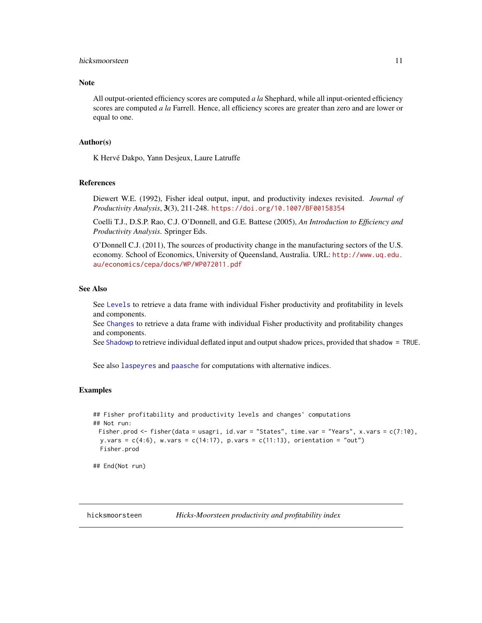#### <span id="page-10-0"></span>hicksmoorsteen 11

#### Note

All output-oriented efficiency scores are computed *a la* Shephard, while all input-oriented efficiency scores are computed *a la* Farrell. Hence, all efficiency scores are greater than zero and are lower or equal to one.

#### Author(s)

K Hervé Dakpo, Yann Desjeux, Laure Latruffe

#### References

Diewert W.E. (1992), Fisher ideal output, input, and productivity indexes revisited. *Journal of Productivity Analysis*, 3(3), 211-248. <https://doi.org/10.1007/BF00158354>

Coelli T.J., D.S.P. Rao, C.J. O'Donnell, and G.E. Battese (2005), *An Introduction to Efficiency and Productivity Analysis*. Springer Eds.

O'Donnell C.J. (2011), The sources of productivity change in the manufacturing sectors of the U.S. economy. School of Economics, University of Queensland, Australia. URL: [http://www.uq.edu.](http://www.uq.edu.au/economics/cepa/docs/WP/WP072011.pdf) [au/economics/cepa/docs/WP/WP072011.pdf](http://www.uq.edu.au/economics/cepa/docs/WP/WP072011.pdf)

#### See Also

See [Levels](#page-19-1) to retrieve a data frame with individual Fisher productivity and profitability in levels and components.

See [Changes](#page-1-1) to retrieve a data frame with individual Fisher productivity and profitability changes and components.

See [Shadowp](#page-32-1) to retrieve individual deflated input and output shadow prices, provided that shadow = TRUE.

See also [laspeyres](#page-15-1) and [paasche](#page-28-1) for computations with alternative indices.

#### Examples

```
## Fisher profitability and productivity levels and changes' computations
## Not run:
 Fisher.prod <- fisher(data = usagri, id.var = "States", time.var = "Years", x.vars = c(7:10),
 y \cdot \text{vars} = c(4:6), w.vars = c(14:17), p.vars = c(11:13), orientation = "out")
 Fisher.prod
```
## End(Not run)

<span id="page-10-1"></span>hicksmoorsteen *Hicks-Moorsteen productivity and profitability index*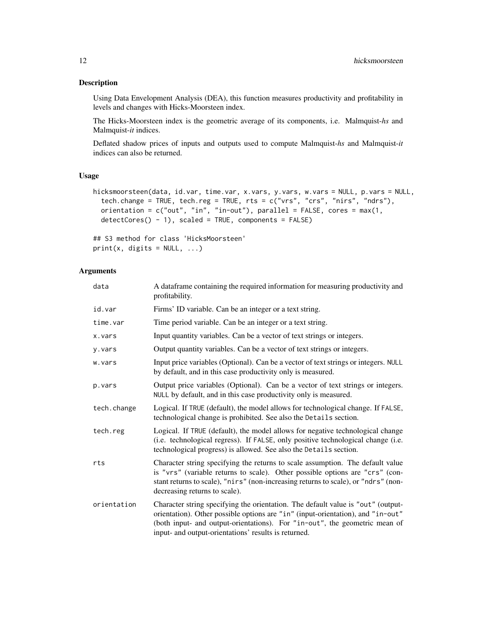#### Description

Using Data Envelopment Analysis (DEA), this function measures productivity and profitability in levels and changes with Hicks-Moorsteen index.

The Hicks-Moorsteen index is the geometric average of its components, i.e. Malmquist-*hs* and Malmquist-*it* indices.

Deflated shadow prices of inputs and outputs used to compute Malmquist-*hs* and Malmquist-*it* indices can also be returned.

#### Usage

```
hicksmoorsteen(data, id.var, time.var, x.vars, y.vars, w.vars = NULL, p.vars = NULL,
  tech.change = TRUE, tech.reg = TRUE, rts = c("vrs", "crs", "nirs", "ndrs"),
 orientation = c("out", "in", "in-out"), parallel = FALSE, cores = max(1,
  detectCores() - 1), scaled = TRUE, components = FALSE)
```
## S3 method for class 'HicksMoorsteen'  $print(x, \text{ digits} = NULL, ...)$ 

#### Arguments

| data        | A dataframe containing the required information for measuring productivity and<br>profitability.                                                                                                                                                                                                          |
|-------------|-----------------------------------------------------------------------------------------------------------------------------------------------------------------------------------------------------------------------------------------------------------------------------------------------------------|
| id.var      | Firms' ID variable. Can be an integer or a text string.                                                                                                                                                                                                                                                   |
| time.var    | Time period variable. Can be an integer or a text string.                                                                                                                                                                                                                                                 |
| x.vars      | Input quantity variables. Can be a vector of text strings or integers.                                                                                                                                                                                                                                    |
| y.vars      | Output quantity variables. Can be a vector of text strings or integers.                                                                                                                                                                                                                                   |
| w.vars      | Input price variables (Optional). Can be a vector of text strings or integers. NULL<br>by default, and in this case productivity only is measured.                                                                                                                                                        |
| p.vars      | Output price variables (Optional). Can be a vector of text strings or integers.<br>NULL by default, and in this case productivity only is measured.                                                                                                                                                       |
| tech.change | Logical. If TRUE (default), the model allows for technological change. If FALSE,<br>technological change is prohibited. See also the Details section.                                                                                                                                                     |
| tech.reg    | Logical. If TRUE (default), the model allows for negative technological change<br>(i.e. technological regress). If FALSE, only positive technological change (i.e.<br>technological progress) is allowed. See also the Details section.                                                                   |
| rts         | Character string specifying the returns to scale assumption. The default value<br>is "vrs" (variable returns to scale). Other possible options are "crs" (con-<br>stant returns to scale), "nirs" (non-increasing returns to scale), or "ndrs" (non-<br>decreasing returns to scale).                     |
| orientation | Character string specifying the orientation. The default value is "out" (output-<br>orientation). Other possible options are "in" (input-orientation), and "in-out"<br>(both input- and output-orientations). For "in-out", the geometric mean of<br>input- and output-orientations' results is returned. |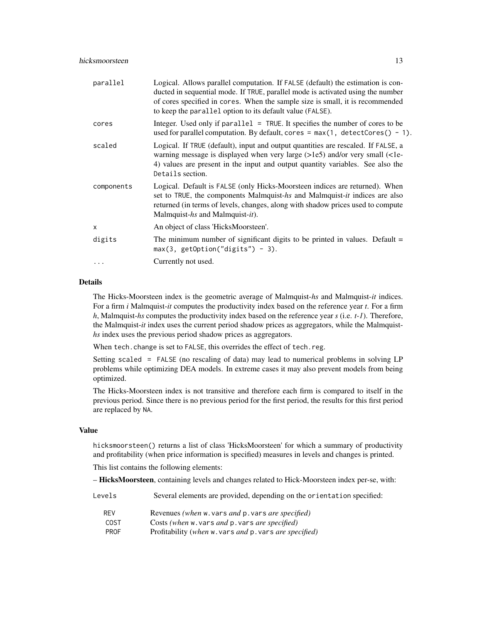| parallel     | Logical. Allows parallel computation. If FALSE (default) the estimation is con-<br>ducted in sequential mode. If TRUE, parallel mode is activated using the number<br>of cores specified in cores. When the sample size is small, it is recommended<br>to keep the parallel option to its default value (FALSE). |
|--------------|------------------------------------------------------------------------------------------------------------------------------------------------------------------------------------------------------------------------------------------------------------------------------------------------------------------|
| cores        | Integer. Used only if $parallel = TRUE$ . It specifies the number of cores to be<br>used for parallel computation. By default, cores = $max(1, detectCores() - 1)$ .                                                                                                                                             |
| scaled       | Logical. If TRUE (default), input and output quantities are rescaled. If FALSE, a<br>warning message is displayed when very large (>1e5) and/or very small (<1e-<br>4) values are present in the input and output quantity variables. See also the<br>Details section.                                           |
| components   | Logical. Default is FALSE (only Hicks-Moorsteen indices are returned). When<br>set to TRUE, the components Malmquist-hs and Malmquist-it indices are also<br>returned (in terms of levels, changes, along with shadow prices used to compute<br>Malmquist-hs and Malmquist-it).                                  |
| $\mathsf{x}$ | An object of class 'HicksMoorsteen'.                                                                                                                                                                                                                                                                             |
| digits       | The minimum number of significant digits to be printed in values. Default $=$<br>$max(3, getOption("digits") - 3).$                                                                                                                                                                                              |
|              | Currently not used.                                                                                                                                                                                                                                                                                              |
|              |                                                                                                                                                                                                                                                                                                                  |

#### Details

The Hicks-Moorsteen index is the geometric average of Malmquist-*hs* and Malmquist-*it* indices. For a firm *i* Malmquist-*it* computes the productivity index based on the reference year *t*. For a firm *h*, Malmquist-*hs* computes the productivity index based on the reference year *s* (i.e. *t-1*). Therefore, the Malmquist-*it* index uses the current period shadow prices as aggregators, while the Malmquist*hs* index uses the previous period shadow prices as aggregators.

When tech.change is set to FALSE, this overrides the effect of tech.reg.

Setting scaled = FALSE (no rescaling of data) may lead to numerical problems in solving LP problems while optimizing DEA models. In extreme cases it may also prevent models from being optimized.

The Hicks-Moorsteen index is not transitive and therefore each firm is compared to itself in the previous period. Since there is no previous period for the first period, the results for this first period are replaced by NA.

#### Value

hicksmoorsteen() returns a list of class 'HicksMoorsteen' for which a summary of productivity and profitability (when price information is specified) measures in levels and changes is printed.

This list contains the following elements:

– HicksMoorsteen, containing levels and changes related to Hick-Moorsteen index per-se, with:

| Levels      | Several elements are provided, depending on the orientation specified: |
|-------------|------------------------------------------------------------------------|
| <b>RFV</b>  | Revenues (when w. vars and p. vars are specified)                      |
| <b>COST</b> | Costs (when w. vars and p. vars are specified)                         |
| <b>PROF</b> | Profitability (when w. vars and p. vars are specified)                 |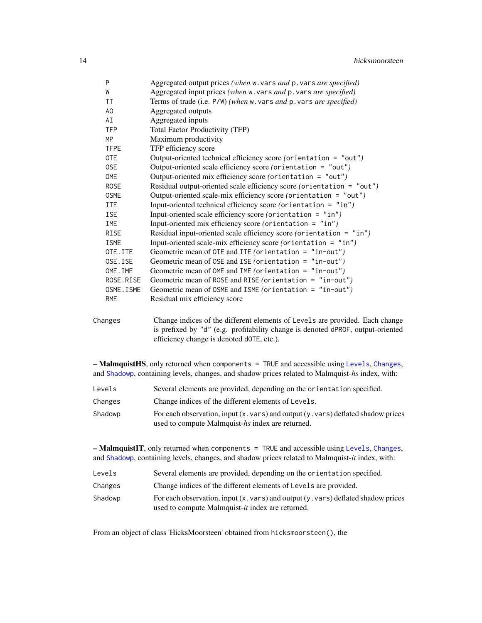<span id="page-13-0"></span>

| P              | Aggregated output prices (when w. vars and p. vars are specified)     |
|----------------|-----------------------------------------------------------------------|
| W              | Aggregated input prices (when w. vars and p. vars are specified)      |
| TT             | Terms of trade (i.e. P/W) (when w. vars and p. vars are specified)    |
| A <sub>O</sub> | Aggregated outputs                                                    |
| AI             | Aggregated inputs                                                     |
| <b>TFP</b>     | <b>Total Factor Productivity (TFP)</b>                                |
| MP             | Maximum productivity                                                  |
| <b>TFPE</b>    | TFP efficiency score                                                  |
| <b>OTE</b>     | Output-oriented technical efficiency score (orientation = "out")      |
| 0SE            | Output-oriented scale efficiency score (orientation = "out")          |
| <b>OME</b>     | Output-oriented mix efficiency score (orientation = "out")            |
| <b>ROSE</b>    | Residual output-oriented scale efficiency score (orientation = "out") |
| <b>OSME</b>    | Output-oriented scale-mix efficiency score (orientation = "out")      |
| ITE            | Input-oriented technical efficiency score (orientation = "in")        |
| <b>ISE</b>     | Input-oriented scale efficiency score (orientation = $"in"$ )         |
| <b>IME</b>     | Input-oriented mix efficiency score (orientation = $"in")$            |
| <b>RISE</b>    | Residual input-oriented scale efficiency score (orientation = $"in")$ |
| <b>ISME</b>    | Input-oriented scale-mix efficiency score (orientation = $"in"$ )     |
| OTE.ITE        | Geometric mean of OTE and ITE (orientation = $"in-out"$ )             |
| OSE.ISE        | Geometric mean of OSE and ISE (orientation = $"in-out"$ )             |
| OME. IME       | Geometric mean of OME and IME (orientation = $"in-out")$              |
| ROSE.RISE      | Geometric mean of ROSE and RISE (orientation = "in-out")              |
| OSME. ISME     | Geometric mean of OSME and ISME (orientation = "in-out")              |
| <b>RME</b>     | Residual mix efficiency score                                         |
|                |                                                                       |

Changes Change indices of the different elements of Levels are provided. Each change is prefixed by "d" (e.g. profitability change is denoted dPROF, output-oriented efficiency change is denoted dOTE, etc.).

– MalmquistHS, only returned when components = TRUE and accessible using [Levels](#page-19-1), [Changes](#page-1-1), and [Shadowp](#page-32-1), containing levels, changes, and shadow prices related to Malmquist-*hs* index, with:

| Levels  | Several elements are provided, depending on the orientation specified.                                        |
|---------|---------------------------------------------------------------------------------------------------------------|
| Changes | Change indices of the different elements of Levels.                                                           |
| Shadowp | For each observation, input $(x \cdot \text{vars})$ and output $(y \cdot \text{vars})$ deflated shadow prices |
|         | used to compute Malmquist-hs index are returned.                                                              |

 $-$  MalmquistIT, only returned when components  $=$  TRUE and accessible using [Levels](#page-19-1), [Changes](#page-1-1), and [Shadowp](#page-32-1), containing levels, changes, and shadow prices related to Malmquist-*it* index, with:

| Levels |  |  | Several elements are provided, depending on the orientation specified. |  |
|--------|--|--|------------------------------------------------------------------------|--|
|--------|--|--|------------------------------------------------------------------------|--|

- Changes Change indices of the different elements of Levels are provided.
- Shadowp For each observation, input  $(x, vars)$  and output  $(y, vars)$  deflated shadow prices used to compute Malmquist-*it* index are returned.

From an object of class 'HicksMoorsteen' obtained from hicksmoorsteen(), the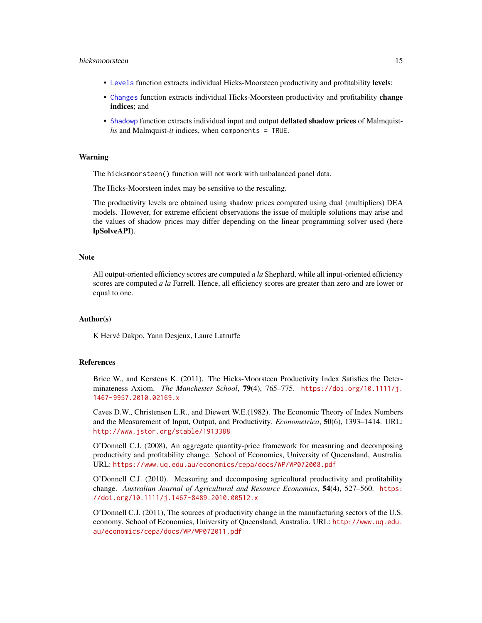#### hicksmoorsteen 15

- [Levels](#page-19-1) function extracts individual Hicks-Moorsteen productivity and profitability levels;
- [Changes](#page-1-1) function extracts individual Hicks-Moorsteen productivity and profitability change indices; and
- [Shadowp](#page-32-1) function extracts individual input and output deflated shadow prices of Malmquist*hs* and Malmquist-*it* indices, when components = TRUE.

#### Warning

The hicksmoorsteen() function will not work with unbalanced panel data.

The Hicks-Moorsteen index may be sensitive to the rescaling.

The productivity levels are obtained using shadow prices computed using dual (multipliers) DEA models. However, for extreme efficient observations the issue of multiple solutions may arise and the values of shadow prices may differ depending on the linear programming solver used (here lpSolveAPI).

#### Note

All output-oriented efficiency scores are computed *a la* Shephard, while all input-oriented efficiency scores are computed *a la* Farrell. Hence, all efficiency scores are greater than zero and are lower or equal to one.

#### Author(s)

K Hervé Dakpo, Yann Desjeux, Laure Latruffe

#### References

Briec W., and Kerstens K. (2011). The Hicks-Moorsteen Productivity Index Satisfies the Determinateness Axiom. *The Manchester School*, 79(4), 765–775. [https://doi.org/10.1111/j.](https://doi.org/10.1111/j.1467-9957.2010.02169.x) [1467-9957.2010.02169.x](https://doi.org/10.1111/j.1467-9957.2010.02169.x)

Caves D.W., Christensen L.R., and Diewert W.E.(1982). The Economic Theory of Index Numbers and the Measurement of Input, Output, and Productivity. *Econometrica*, 50(6), 1393–1414. URL: <http://www.jstor.org/stable/1913388>

O'Donnell C.J. (2008), An aggregate quantity-price framework for measuring and decomposing productivity and profitability change. School of Economics, University of Queensland, Australia. URL: <https://www.uq.edu.au/economics/cepa/docs/WP/WP072008.pdf>

O'Donnell C.J. (2010). Measuring and decomposing agricultural productivity and profitability change. *Australian Journal of Agricultural and Resource Economics*, 54(4), 527–560. [https:](https://doi.org/10.1111/j.1467-8489.2010.00512.x) [//doi.org/10.1111/j.1467-8489.2010.00512.x](https://doi.org/10.1111/j.1467-8489.2010.00512.x)

O'Donnell C.J. (2011), The sources of productivity change in the manufacturing sectors of the U.S. economy. School of Economics, University of Queensland, Australia. URL: [http://www.uq.edu.](http://www.uq.edu.au/economics/cepa/docs/WP/WP072011.pdf) [au/economics/cepa/docs/WP/WP072011.pdf](http://www.uq.edu.au/economics/cepa/docs/WP/WP072011.pdf)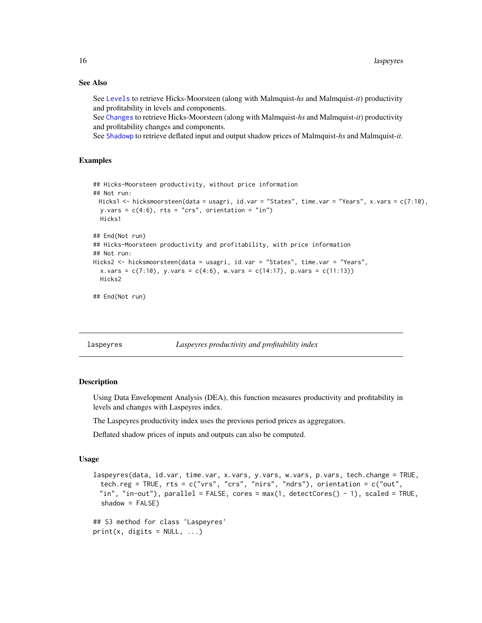#### See Also

See [Levels](#page-19-1) to retrieve Hicks-Moorsteen (along with Malmquist-*hs* and Malmquist-*it*) productivity and profitability in levels and components.

See [Changes](#page-1-1) to retrieve Hicks-Moorsteen (along with Malmquist-*hs* and Malmquist-*it*) productivity and profitability changes and components.

See [Shadowp](#page-32-1) to retrieve deflated input and output shadow prices of Malmquist-*hs* and Malmquist-*it*.

#### Examples

```
## Hicks-Moorsteen productivity, without price information
## Not run:
 Hicks1 <- hicksmoorsteen(data = usagri, id.var = "States", time.var = "Years", x.vars = c(7:10),
  y.vars = c(4:6), rts = "crs", orientation = "in")
 Hicks1
## End(Not run)
## Hicks-Moorsteen productivity and profitability, with price information
## Not run:
Hicks2 <- hicksmoorsteen(data = usagri, id.var = "States", time.var = "Years",
  x.yars = c(7:10), y.yars = c(4:6), w.yars = c(14:17), p.yars = c(11:13)Hicks2
```
## End(Not run)

<span id="page-15-1"></span>laspeyres *Laspeyres productivity and profitability index*

#### Description

Using Data Envelopment Analysis (DEA), this function measures productivity and profitability in levels and changes with Laspeyres index.

The Laspeyres productivity index uses the previous period prices as aggregators.

Deflated shadow prices of inputs and outputs can also be computed.

#### Usage

```
laspeyres(data, id.var, time.var, x.vars, y.vars, w.vars, p.vars, tech.change = TRUE,
 tech.reg = TRUE, rts = c("vrs", "crs", "nirs", "ndrs"), orientation = c("out",
 "in", "in-out"), parallel = FALSE, cores = max(1, detectCores() - 1), scaled = TRUE,
  shadow = FALSE)
## S3 method for class 'Laspeyres'
print(x, \text{ digits} = NULL, ...)
```
<span id="page-15-0"></span>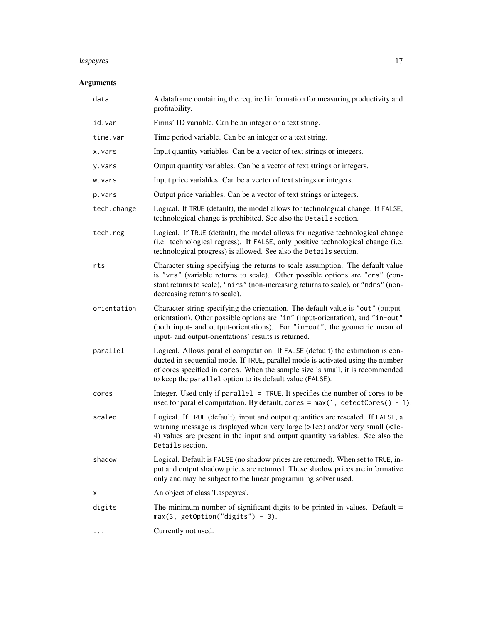#### laspeyres and the contract of the contract of the contract of the contract of the contract of the contract of the contract of the contract of the contract of the contract of the contract of the contract of the contract of

## Arguments

| data        | A dataframe containing the required information for measuring productivity and<br>profitability.                                                                                                                                                                                                                 |
|-------------|------------------------------------------------------------------------------------------------------------------------------------------------------------------------------------------------------------------------------------------------------------------------------------------------------------------|
| id.var      | Firms' ID variable. Can be an integer or a text string.                                                                                                                                                                                                                                                          |
| time.var    | Time period variable. Can be an integer or a text string.                                                                                                                                                                                                                                                        |
| x.vars      | Input quantity variables. Can be a vector of text strings or integers.                                                                                                                                                                                                                                           |
| y.vars      | Output quantity variables. Can be a vector of text strings or integers.                                                                                                                                                                                                                                          |
| w.vars      | Input price variables. Can be a vector of text strings or integers.                                                                                                                                                                                                                                              |
| p.vars      | Output price variables. Can be a vector of text strings or integers.                                                                                                                                                                                                                                             |
| tech.change | Logical. If TRUE (default), the model allows for technological change. If FALSE,<br>technological change is prohibited. See also the Details section.                                                                                                                                                            |
| tech.reg    | Logical. If TRUE (default), the model allows for negative technological change<br>(i.e. technological regress). If FALSE, only positive technological change (i.e.<br>technological progress) is allowed. See also the Details section.                                                                          |
| rts         | Character string specifying the returns to scale assumption. The default value<br>is "vrs" (variable returns to scale). Other possible options are "crs" (con-<br>stant returns to scale), "nirs" (non-increasing returns to scale), or "ndrs" (non-<br>decreasing returns to scale).                            |
| orientation | Character string specifying the orientation. The default value is "out" (output-<br>orientation). Other possible options are "in" (input-orientation), and "in-out"<br>(both input- and output-orientations). For "in-out", the geometric mean of<br>input- and output-orientations' results is returned.        |
| parallel    | Logical. Allows parallel computation. If FALSE (default) the estimation is con-<br>ducted in sequential mode. If TRUE, parallel mode is activated using the number<br>of cores specified in cores. When the sample size is small, it is recommended<br>to keep the parallel option to its default value (FALSE). |
| cores       | Integer. Used only if parallel = TRUE. It specifies the number of cores to be<br>used for parallel computation. By default, cores = $max(1, detectCores() - 1)$ .                                                                                                                                                |
| scaled      | Logical. If TRUE (default), input and output quantities are rescaled. If FALSE, a<br>warning message is displayed when very large (>1e5) and/or very small (<1e-<br>4) values are present in the input and output quantity variables. See also the<br>Details section.                                           |
| shadow      | Logical. Default is FALSE (no shadow prices are returned). When set to TRUE, in-<br>put and output shadow prices are returned. These shadow prices are informative<br>only and may be subject to the linear programming solver used.                                                                             |
| х           | An object of class 'Laspeyres'.                                                                                                                                                                                                                                                                                  |
| digits      | The minimum number of significant digits to be printed in values. Default $=$<br>$max(3, getOption("digits") - 3).$                                                                                                                                                                                              |
|             | Currently not used.                                                                                                                                                                                                                                                                                              |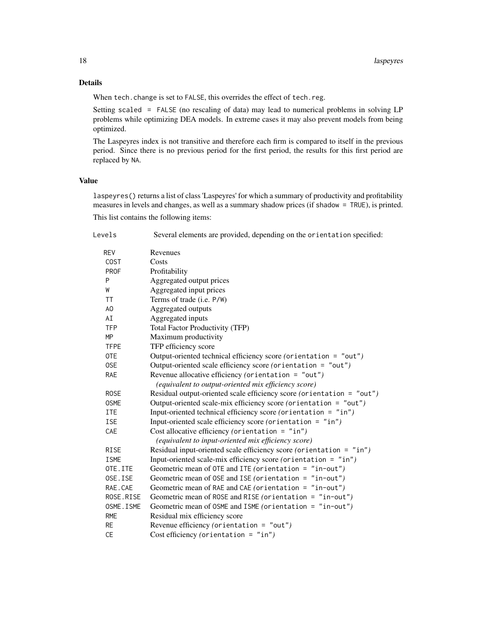#### Details

When tech.change is set to FALSE, this overrides the effect of tech.reg.

Setting scaled = FALSE (no rescaling of data) may lead to numerical problems in solving LP problems while optimizing DEA models. In extreme cases it may also prevent models from being optimized.

The Laspeyres index is not transitive and therefore each firm is compared to itself in the previous period. Since there is no previous period for the first period, the results for this first period are replaced by NA.

#### Value

laspeyres() returns a list of class 'Laspeyres' for which a summary of productivity and profitability measures in levels and changes, as well as a summary shadow prices (if shadow = TRUE), is printed. This list contains the following items:

| Levels      | Several elements are provided, depending on the orientation specified: |
|-------------|------------------------------------------------------------------------|
| <b>REV</b>  | Revenues                                                               |
| <b>COST</b> | Costs                                                                  |
| <b>PROF</b> | Profitability                                                          |
| P           | Aggregated output prices                                               |
| W           | Aggregated input prices                                                |
| <b>TT</b>   | Terms of trade (i.e. P/W)                                              |
| AO          | Aggregated outputs                                                     |
| AI          | Aggregated inputs                                                      |
| <b>TFP</b>  | <b>Total Factor Productivity (TFP)</b>                                 |
| MP          | Maximum productivity                                                   |
| <b>TFPE</b> | TFP efficiency score                                                   |
| <b>OTE</b>  | Output-oriented technical efficiency score (orientation = "out")       |
| 0SE         | Output-oriented scale efficiency score (orientation = "out")           |
| RAE         | Revenue allocative efficiency (orientation = "out")                    |
|             | (equivalent to output-oriented mix efficiency score)                   |
| <b>ROSE</b> | Residual output-oriented scale efficiency score (orientation = "out")  |
| <b>OSME</b> | Output-oriented scale-mix efficiency score (orientation = "out")       |
| <b>ITE</b>  | Input-oriented technical efficiency score (orientation = "in")         |
| <b>ISE</b>  | Input-oriented scale efficiency score (orientation = "in")             |
| <b>CAE</b>  | Cost allocative efficiency (orientation = $"in")$                      |
|             | (equivalent to input-oriented mix efficiency score)                    |
| <b>RISE</b> | Residual input-oriented scale efficiency score (orientation = $"in")$  |
| <b>ISME</b> | Input-oriented scale-mix efficiency score (orientation = $"in"$ )      |
| OTE.ITE     | Geometric mean of OTE and ITE (orientation = $"in-out"$ )              |
| OSE.ISE     | Geometric mean of OSE and ISE (orientation = $"in-out"$ )              |
| RAE.CAE     | Geometric mean of RAE and CAE (orientation = "in-out")                 |
| ROSE.RISE   | Geometric mean of ROSE and RISE (orientation = "in-out")               |
| OSME. ISME  | Geometric mean of OSME and ISME (orientation = "in-out")               |
| <b>RME</b>  | Residual mix efficiency score                                          |
| <b>RE</b>   | Revenue efficiency (orientation = $"out")$                             |
| <b>CE</b>   | Cost efficiency (orientation = $"in")$                                 |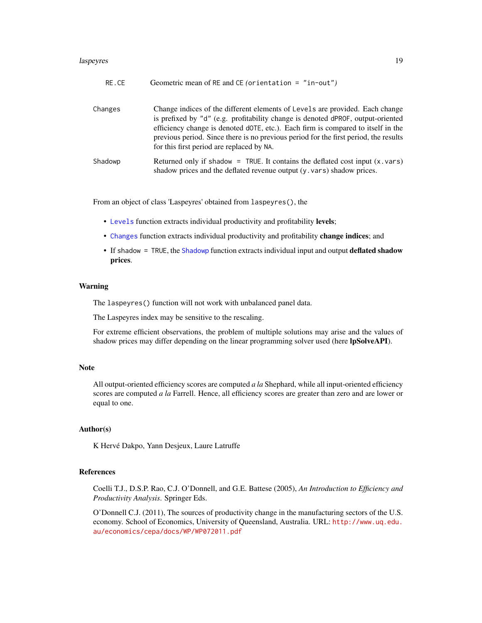#### <span id="page-18-0"></span>laspeyres and the contract of the contract of the contract of the contract of the contract of the contract of the contract of the contract of the contract of the contract of the contract of the contract of the contract of

| RE.CE   | Geometric mean of RE and CE (orientation = $"in-out"$ )                                                                                                                                                                                                                                                                                                                                  |
|---------|------------------------------------------------------------------------------------------------------------------------------------------------------------------------------------------------------------------------------------------------------------------------------------------------------------------------------------------------------------------------------------------|
| Changes | Change indices of the different elements of Levels are provided. Each change<br>is prefixed by "d" (e.g. profitability change is denoted dPROF, output-oriented<br>efficiency change is denoted dOTE, etc.). Each firm is compared to itself in the<br>previous period. Since there is no previous period for the first period, the results<br>for this first period are replaced by NA. |
| Shadowp | Returned only if shadow = TRUE. It contains the deflated cost input $(x \cdot \text{vars})$<br>shadow prices and the deflated revenue output (y. vars) shadow prices.                                                                                                                                                                                                                    |

From an object of class 'Laspeyres' obtained from laspeyres(), the

- [Levels](#page-19-1) function extracts individual productivity and profitability levels;
- [Changes](#page-1-1) function extracts individual productivity and profitability change indices; and
- If shadow = TRUE, the [Shadowp](#page-32-1) function extracts individual input and output deflated shadow prices.

#### Warning

The laspeyres() function will not work with unbalanced panel data.

The Laspeyres index may be sensitive to the rescaling.

For extreme efficient observations, the problem of multiple solutions may arise and the values of shadow prices may differ depending on the linear programming solver used (here lpSolveAPI).

#### **Note**

All output-oriented efficiency scores are computed *a la* Shephard, while all input-oriented efficiency scores are computed *a la* Farrell. Hence, all efficiency scores are greater than zero and are lower or equal to one.

#### Author(s)

K Hervé Dakpo, Yann Desjeux, Laure Latruffe

#### References

Coelli T.J., D.S.P. Rao, C.J. O'Donnell, and G.E. Battese (2005), *An Introduction to Efficiency and Productivity Analysis*. Springer Eds.

O'Donnell C.J. (2011), The sources of productivity change in the manufacturing sectors of the U.S. economy. School of Economics, University of Queensland, Australia. URL: [http://www.uq.edu.](http://www.uq.edu.au/economics/cepa/docs/WP/WP072011.pdf) [au/economics/cepa/docs/WP/WP072011.pdf](http://www.uq.edu.au/economics/cepa/docs/WP/WP072011.pdf)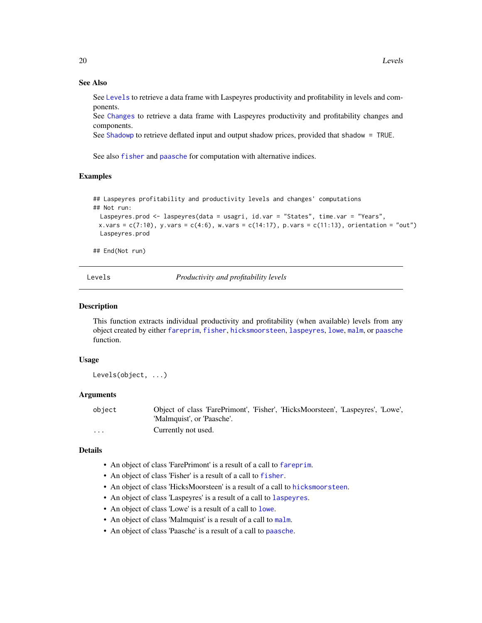#### See Also

See [Levels](#page-19-1) to retrieve a data frame with Laspeyres productivity and profitability in levels and components.

See [Changes](#page-1-1) to retrieve a data frame with Laspeyres productivity and profitability changes and components.

See [Shadowp](#page-32-1) to retrieve deflated input and output shadow prices, provided that shadow = TRUE.

See also [fisher](#page-7-1) and [paasche](#page-28-1) for computation with alternative indices.

#### Examples

## Laspeyres profitability and productivity levels and changes' computations ## Not run:

```
Laspeyres.prod <- laspeyres(data = usagri, id.var = "States", time.var = "Years",
x.vars = c(7:10), y.vars = c(4:6), w.vars = c(14:17), p.vars = c(11:13), orientation = "out")
Laspeyres.prod
```
## End(Not run)

<span id="page-19-1"></span>Levels *Productivity and profitability levels*

#### Description

This function extracts individual productivity and profitability (when available) levels from any object created by either [fareprim](#page-3-1), [fisher](#page-7-1), [hicksmoorsteen](#page-10-1), [laspeyres](#page-15-1), [lowe](#page-21-1), [malm](#page-25-1), or [paasche](#page-28-1) function.

#### Usage

Levels(object, ...)

#### Arguments

object Object of class 'FarePrimont', 'Fisher', 'HicksMoorsteen', 'Laspeyres', 'Lowe', 'Malmquist', or 'Paasche'. ... Currently not used.

#### Details

- An object of class 'FarePrimont' is a result of a call to [fareprim](#page-3-1).
- An object of class 'Fisher' is a result of a call to [fisher](#page-7-1).
- An object of class 'HicksMoorsteen' is a result of a call to [hicksmoorsteen](#page-10-1).
- An object of class 'Laspeyres' is a result of a call to [laspeyres](#page-15-1).
- An object of class 'Lowe' is a result of a call to [lowe](#page-21-1).
- An object of class 'Malmquist' is a result of a call to [malm](#page-25-1).
- An object of class 'Paasche' is a result of a call to [paasche](#page-28-1).

<span id="page-19-0"></span>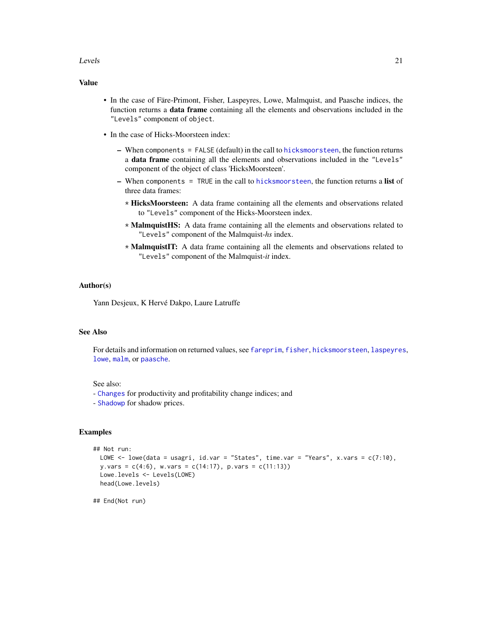#### <span id="page-20-0"></span>Levels 21

#### Value

- In the case of Färe-Primont, Fisher, Laspeyres, Lowe, Malmquist, and Paasche indices, the function returns a **data frame** containing all the elements and observations included in the "Levels" component of object.
- In the case of Hicks-Moorsteen index:
	- When components = FALSE (default) in the call to [hicksmoorsteen](#page-10-1), the function returns a data frame containing all the elements and observations included in the "Levels" component of the object of class 'HicksMoorsteen'.
	- When components = TRUE in the call to [hicksmoorsteen](#page-10-1), the function returns a list of three data frames:
		- \* HicksMoorsteen: A data frame containing all the elements and observations related to "Levels" component of the Hicks-Moorsteen index.
		- \* MalmquistHS: A data frame containing all the elements and observations related to "Levels" component of the Malmquist-*hs* index.
		- \* MalmquistIT: A data frame containing all the elements and observations related to "Levels" component of the Malmquist-*it* index.

#### Author(s)

Yann Desjeux, K Hervé Dakpo, Laure Latruffe

#### See Also

For details and information on returned values, see [fareprim](#page-3-1), [fisher](#page-7-1), [hicksmoorsteen](#page-10-1), [laspeyres](#page-15-1), [lowe](#page-21-1), [malm](#page-25-1), or [paasche](#page-28-1).

#### See also:

- [Changes](#page-1-1) for productivity and profitability change indices; and
- [Shadowp](#page-32-1) for shadow prices.

#### Examples

```
## Not run:
 LOWE <- lowe(data = usagri, id.var = "States", time.var = "Years", x.vars = c(7:10),
 y.vars = c(4:6), w.vars = c(14:17), p.vars = c(11:13))
 Lowe.levels <- Levels(LOWE)
 head(Lowe.levels)
```
## End(Not run)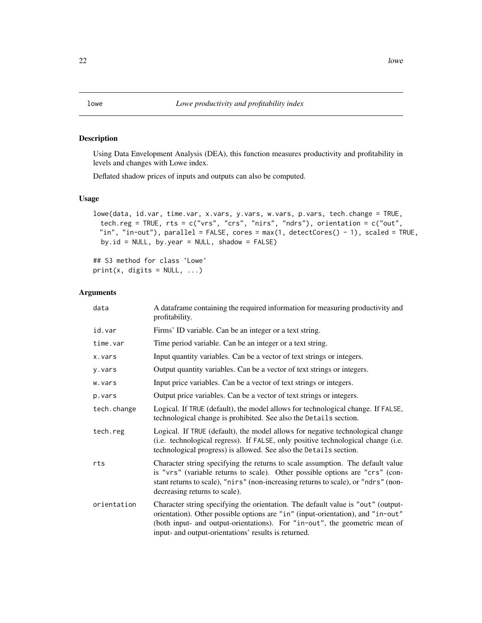#### <span id="page-21-1"></span><span id="page-21-0"></span>Description

Using Data Envelopment Analysis (DEA), this function measures productivity and profitability in levels and changes with Lowe index.

Deflated shadow prices of inputs and outputs can also be computed.

#### Usage

```
lowe(data, id.var, time.var, x.vars, y.vars, w.vars, p.vars, tech.change = TRUE,
 tech.reg = TRUE, rts = c("vrs", "crs", "nirs", "ndrs"), orientation = c("out",
 "in", "in-out"), parallel = FALSE, cores = max(1, detectCores() - 1), scaled = TRUE,
 by.id = NULL, by.year = NULL, shadow = FALSE)
```
## S3 method for class 'Lowe'  $print(x, \text{ digits} = NULL, ...)$ 

#### Arguments

| data        | A dataframe containing the required information for measuring productivity and<br>profitability.                                                                                                                                                                                                          |
|-------------|-----------------------------------------------------------------------------------------------------------------------------------------------------------------------------------------------------------------------------------------------------------------------------------------------------------|
| id.var      | Firms' ID variable. Can be an integer or a text string.                                                                                                                                                                                                                                                   |
| time.var    | Time period variable. Can be an integer or a text string.                                                                                                                                                                                                                                                 |
| x.vars      | Input quantity variables. Can be a vector of text strings or integers.                                                                                                                                                                                                                                    |
| y.vars      | Output quantity variables. Can be a vector of text strings or integers.                                                                                                                                                                                                                                   |
| w.vars      | Input price variables. Can be a vector of text strings or integers.                                                                                                                                                                                                                                       |
| p.vars      | Output price variables. Can be a vector of text strings or integers.                                                                                                                                                                                                                                      |
| tech.change | Logical. If TRUE (default), the model allows for technological change. If FALSE,<br>technological change is prohibited. See also the Details section.                                                                                                                                                     |
| tech.reg    | Logical. If TRUE (default), the model allows for negative technological change<br>(i.e. technological regress). If FALSE, only positive technological change (i.e.<br>technological progress) is allowed. See also the Details section.                                                                   |
| rts         | Character string specifying the returns to scale assumption. The default value<br>is "vrs" (variable returns to scale). Other possible options are "crs" (con-<br>stant returns to scale), "nirs" (non-increasing returns to scale), or "ndrs" (non-<br>decreasing returns to scale).                     |
| orientation | Character string specifying the orientation. The default value is "out" (output-<br>orientation). Other possible options are "in" (input-orientation), and "in-out"<br>(both input- and output-orientations). For "in-out", the geometric mean of<br>input- and output-orientations' results is returned. |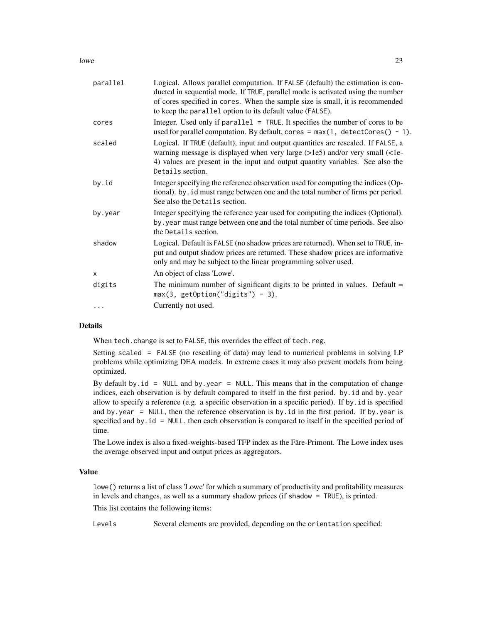$l$  lowe 23

| parallel | Logical. Allows parallel computation. If FALSE (default) the estimation is con-<br>ducted in sequential mode. If TRUE, parallel mode is activated using the number<br>of cores specified in cores. When the sample size is small, it is recommended<br>to keep the parallel option to its default value (FALSE). |
|----------|------------------------------------------------------------------------------------------------------------------------------------------------------------------------------------------------------------------------------------------------------------------------------------------------------------------|
| cores    | Integer. Used only if parallel = TRUE. It specifies the number of cores to be<br>used for parallel computation. By default, cores = $max(1, detectCores() - 1)$ .                                                                                                                                                |
| scaled   | Logical. If TRUE (default), input and output quantities are rescaled. If FALSE, a<br>warning message is displayed when very large (>1e5) and/or very small (<1e-<br>4) values are present in the input and output quantity variables. See also the<br>Details section.                                           |
| by.id    | Integer specifying the reference observation used for computing the indices (Op-<br>tional). by . id must range between one and the total number of firms per period.<br>See also the Details section.                                                                                                           |
| by.year  | Integer specifying the reference year used for computing the indices (Optional).<br>by . year must range between one and the total number of time periods. See also<br>the Details section.                                                                                                                      |
| shadow   | Logical. Default is FALSE (no shadow prices are returned). When set to TRUE, in-<br>put and output shadow prices are returned. These shadow prices are informative<br>only and may be subject to the linear programming solver used.                                                                             |
| X        | An object of class 'Lowe'.                                                                                                                                                                                                                                                                                       |
| digits   | The minimum number of significant digits to be printed in values. Default $=$<br>$max(3, getOption("digits") - 3).$                                                                                                                                                                                              |
|          | Currently not used.                                                                                                                                                                                                                                                                                              |
|          |                                                                                                                                                                                                                                                                                                                  |

#### Details

When tech.change is set to FALSE, this overrides the effect of tech.reg.

Setting scaled = FALSE (no rescaling of data) may lead to numerical problems in solving LP problems while optimizing DEA models. In extreme cases it may also prevent models from being optimized.

By default by.  $id = NULL$  and by. year = NULL. This means that in the computation of change indices, each observation is by default compared to itself in the first period. by id and by year allow to specify a reference (e.g. a specific observation in a specific period). If by.id is specified and by.year = NULL, then the reference observation is by.id in the first period. If by.year is specified and by.id = NULL, then each observation is compared to itself in the specified period of time.

The Lowe index is also a fixed-weights-based TFP index as the Färe-Primont. The Lowe index uses the average observed input and output prices as aggregators.

#### Value

lowe() returns a list of class 'Lowe' for which a summary of productivity and profitability measures in levels and changes, as well as a summary shadow prices (if shadow = TRUE), is printed.

This list contains the following items:

Levels Several elements are provided, depending on the orientation specified: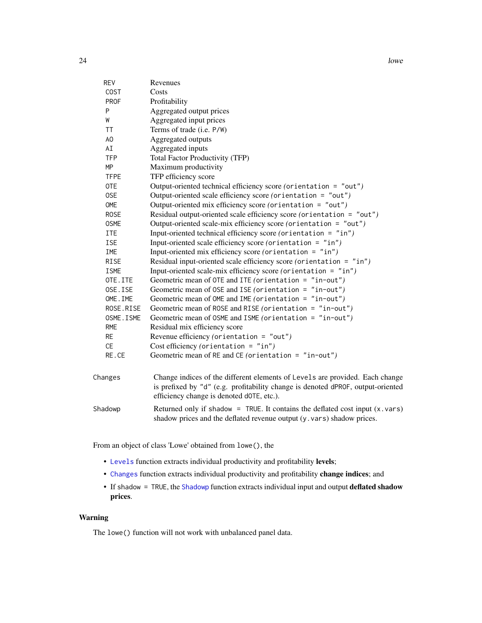<span id="page-23-0"></span>

| <b>REV</b>  | Revenues                                                                                                                                                                                                     |
|-------------|--------------------------------------------------------------------------------------------------------------------------------------------------------------------------------------------------------------|
| <b>COST</b> | Costs                                                                                                                                                                                                        |
| <b>PROF</b> | Profitability                                                                                                                                                                                                |
| P           | Aggregated output prices                                                                                                                                                                                     |
| W           | Aggregated input prices                                                                                                                                                                                      |
| <b>TT</b>   | Terms of trade (i.e. P/W)                                                                                                                                                                                    |
| AO          | Aggregated outputs                                                                                                                                                                                           |
| AI          | Aggregated inputs                                                                                                                                                                                            |
| <b>TFP</b>  | <b>Total Factor Productivity (TFP)</b>                                                                                                                                                                       |
| MP          | Maximum productivity                                                                                                                                                                                         |
| <b>TFPE</b> | TFP efficiency score                                                                                                                                                                                         |
| 0TE         | Output-oriented technical efficiency score (orientation = "out")                                                                                                                                             |
| 0SE         | Output-oriented scale efficiency score (orientation = "out")                                                                                                                                                 |
| OME         | Output-oriented mix efficiency score (orientation = "out")                                                                                                                                                   |
| <b>ROSE</b> | Residual output-oriented scale efficiency score (orientation = "out")                                                                                                                                        |
| <b>OSME</b> | Output-oriented scale-mix efficiency score (orientation = "out")                                                                                                                                             |
| ITE         | Input-oriented technical efficiency score (orientation = "in")                                                                                                                                               |
| ISE         | Input-oriented scale efficiency score (orientation = "in")                                                                                                                                                   |
| IME         | Input-oriented mix efficiency score (orientation = $"in"$ )                                                                                                                                                  |
| <b>RISE</b> | Residual input-oriented scale efficiency score (orientation = "in")                                                                                                                                          |
| <b>ISME</b> | Input-oriented scale-mix efficiency score (orientation = "in")                                                                                                                                               |
| OTE.ITE     | Geometric mean of OTE and ITE (orientation = $"in-out"$ )                                                                                                                                                    |
| OSE.ISE     | Geometric mean of OSE and ISE (orientation = $"in-out"$ )                                                                                                                                                    |
| OME. IME    | Geometric mean of OME and IME (orientation = $"in-out"$ )                                                                                                                                                    |
| ROSE.RISE   | Geometric mean of ROSE and RISE (orientation = $"in-out"$ )                                                                                                                                                  |
| OSME. ISME  | Geometric mean of OSME and ISME (orientation = $"in-out"$ )                                                                                                                                                  |
| RME         | Residual mix efficiency score                                                                                                                                                                                |
| <b>RE</b>   | Revenue efficiency (orientation = $"out")$                                                                                                                                                                   |
| CE          | Cost efficiency (orientation = $"in")$                                                                                                                                                                       |
| RE.CE       | Geometric mean of RE and CE (orientation = $"in-out"$ )                                                                                                                                                      |
| Changes     | Change indices of the different elements of Levels are provided. Each change<br>is prefixed by "d" (e.g. profitability change is denoted dPROF, output-oriented<br>efficiency change is denoted dOTE, etc.). |
| Shadowp     | Returned only if shadow = TRUE. It contains the deflated cost input $(x \cdot x)$                                                                                                                            |

From an object of class 'Lowe' obtained from lowe(), the

- [Levels](#page-19-1) function extracts individual productivity and profitability levels;
- [Changes](#page-1-1) function extracts individual productivity and profitability change indices; and
- If shadow = TRUE, the [Shadowp](#page-32-1) function extracts individual input and output deflated shadow prices.

shadow prices and the deflated revenue output (y.vars) shadow prices.

#### Warning

The lowe() function will not work with unbalanced panel data.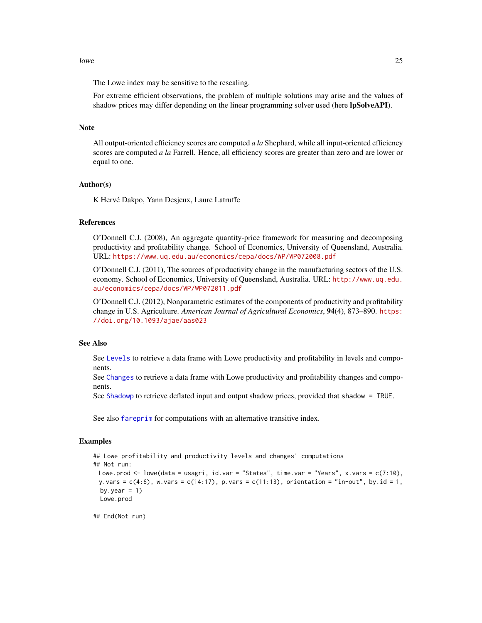#### <span id="page-24-0"></span> $l$ owe 25

The Lowe index may be sensitive to the rescaling.

For extreme efficient observations, the problem of multiple solutions may arise and the values of shadow prices may differ depending on the linear programming solver used (here **lpSolveAPI**).

#### **Note**

All output-oriented efficiency scores are computed *a la* Shephard, while all input-oriented efficiency scores are computed *a la* Farrell. Hence, all efficiency scores are greater than zero and are lower or equal to one.

#### Author(s)

K Hervé Dakpo, Yann Desjeux, Laure Latruffe

#### References

O'Donnell C.J. (2008), An aggregate quantity-price framework for measuring and decomposing productivity and profitability change. School of Economics, University of Queensland, Australia. URL: <https://www.uq.edu.au/economics/cepa/docs/WP/WP072008.pdf>

O'Donnell C.J. (2011), The sources of productivity change in the manufacturing sectors of the U.S. economy. School of Economics, University of Queensland, Australia. URL: [http://www.uq.edu.](http://www.uq.edu.au/economics/cepa/docs/WP/WP072011.pdf) [au/economics/cepa/docs/WP/WP072011.pdf](http://www.uq.edu.au/economics/cepa/docs/WP/WP072011.pdf)

O'Donnell C.J. (2012), Nonparametric estimates of the components of productivity and profitability change in U.S. Agriculture. *American Journal of Agricultural Economics*, 94(4), 873–890. [https:](https://doi.org/10.1093/ajae/aas023) [//doi.org/10.1093/ajae/aas023](https://doi.org/10.1093/ajae/aas023)

#### See Also

See [Levels](#page-19-1) to retrieve a data frame with Lowe productivity and profitability in levels and components.

See [Changes](#page-1-1) to retrieve a data frame with Lowe productivity and profitability changes and components.

See [Shadowp](#page-32-1) to retrieve deflated input and output shadow prices, provided that shadow = TRUE.

See also [fareprim](#page-3-1) for computations with an alternative transitive index.

#### Examples

```
## Lowe profitability and productivity levels and changes' computations
## Not run:
 Lowe.prod <- lowe(data = usagri, id.var = "States", time.var = "Years", x.vars = c(7:10),
 y.vars = c(4:6), w.vars = c(14:17), p.vars = c(11:13), orientation = "in-out", by.id = 1,
 by.year = 1)
 Lowe.prod
```
## End(Not run)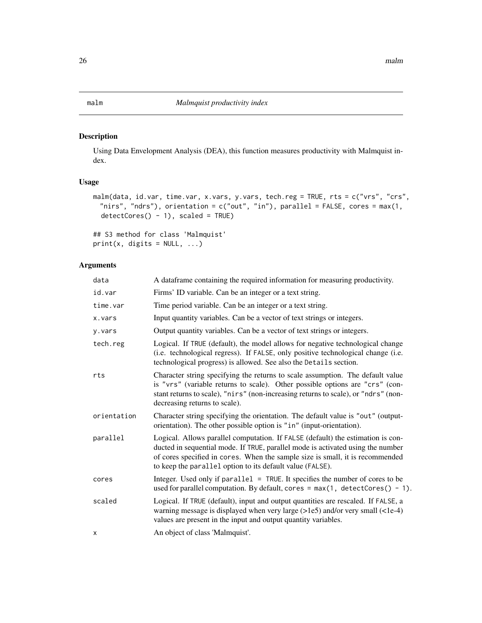#### <span id="page-25-1"></span><span id="page-25-0"></span>Description

Using Data Envelopment Analysis (DEA), this function measures productivity with Malmquist index.

#### Usage

```
malm(data, id.var, time.var, x.vars, y.vars, tech.reg = TRUE, rts = c("vrs", "crs",
 "nirs", "ndrs"), orientation = c("out", "in"), parallel = FALSE, cores = max(1,
 detectCores() - 1), scaled = TRUE)
```

```
## S3 method for class 'Malmquist'
print(x, \text{ digits} = NULL, ...)
```
#### Arguments

| data        | A dataframe containing the required information for measuring productivity.                                                                                                                                                                                                                                      |
|-------------|------------------------------------------------------------------------------------------------------------------------------------------------------------------------------------------------------------------------------------------------------------------------------------------------------------------|
| id.var      | Firms' ID variable. Can be an integer or a text string.                                                                                                                                                                                                                                                          |
| time.var    | Time period variable. Can be an integer or a text string.                                                                                                                                                                                                                                                        |
| x.vars      | Input quantity variables. Can be a vector of text strings or integers.                                                                                                                                                                                                                                           |
| y.vars      | Output quantity variables. Can be a vector of text strings or integers.                                                                                                                                                                                                                                          |
| tech.reg    | Logical. If TRUE (default), the model allows for negative technological change<br>(i.e. technological regress). If FALSE, only positive technological change (i.e.<br>technological progress) is allowed. See also the Details section.                                                                          |
| rts         | Character string specifying the returns to scale assumption. The default value<br>is "vrs" (variable returns to scale). Other possible options are "crs" (con-<br>stant returns to scale), "nirs" (non-increasing returns to scale), or "ndrs" (non-<br>decreasing returns to scale).                            |
| orientation | Character string specifying the orientation. The default value is "out" (output-<br>orientation). The other possible option is "in" (input-orientation).                                                                                                                                                         |
| parallel    | Logical. Allows parallel computation. If FALSE (default) the estimation is con-<br>ducted in sequential mode. If TRUE, parallel mode is activated using the number<br>of cores specified in cores. When the sample size is small, it is recommended<br>to keep the parallel option to its default value (FALSE). |
| cores       | Integer. Used only if parallel = TRUE. It specifies the number of cores to be<br>used for parallel computation. By default, cores = $max(1, detectCores() - 1)$ .                                                                                                                                                |
| scaled      | Logical. If TRUE (default), input and output quantities are rescaled. If FALSE, a<br>warning message is displayed when very large $(>1e5)$ and/or very small $(<1e-4)$<br>values are present in the input and output quantity variables.                                                                         |
| X           | An object of class 'Malmquist'.                                                                                                                                                                                                                                                                                  |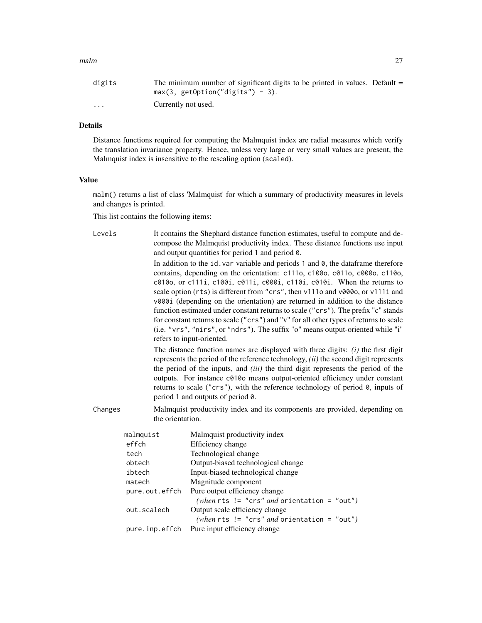#### $m$ alm  $27$

| digits                  | The minimum number of significant digits to be printed in values. Default $=$ |
|-------------------------|-------------------------------------------------------------------------------|
|                         | $max(3, getOption("digits") - 3).$                                            |
| $\cdot$ $\cdot$ $\cdot$ | Currently not used.                                                           |

### Details

Distance functions required for computing the Malmquist index are radial measures which verify the translation invariance property. Hence, unless very large or very small values are present, the Malmquist index is insensitive to the rescaling option (scaled).

#### Value

malm() returns a list of class 'Malmquist' for which a summary of productivity measures in levels and changes is printed.

This list contains the following items:

| Levels  |                  | It contains the Shephard distance function estimates, useful to compute and de-<br>compose the Malmquist productivity index. These distance functions use input<br>and output quantities for period 1 and period 0.<br>In addition to the id. var variable and periods 1 and 0, the dataframe therefore<br>contains, depending on the orientation: c111o, c100o, c011o, c000o, c110o,<br>c010o, or c111i, c100i, c011i, c000i, c110i, c010i. When the returns to<br>scale option (rts) is different from "crs", then v111o and v000o, or v111i and<br>v000i (depending on the orientation) are returned in addition to the distance<br>function estimated under constant returns to scale ("crs"). The prefix "c" stands<br>for constant returns to scale ("crs") and "v" for all other types of returns to scale<br>(i.e. "vrs", "nirs", or "ndrs"). The suffix "o" means output-oriented while "i"<br>refers to input-oriented. |
|---------|------------------|-----------------------------------------------------------------------------------------------------------------------------------------------------------------------------------------------------------------------------------------------------------------------------------------------------------------------------------------------------------------------------------------------------------------------------------------------------------------------------------------------------------------------------------------------------------------------------------------------------------------------------------------------------------------------------------------------------------------------------------------------------------------------------------------------------------------------------------------------------------------------------------------------------------------------------------|
|         |                  | The distance function names are displayed with three digits: $(i)$ the first digit<br>represents the period of the reference technology, $(ii)$ the second digit represents<br>the period of the inputs, and <i>(iii)</i> the third digit represents the period of the<br>outputs. For instance c010o means output-oriented efficiency under constant<br>returns to scale ("crs"), with the reference technology of period 0, inputs of<br>period 1 and outputs of period 0.                                                                                                                                                                                                                                                                                                                                                                                                                                                      |
| Changes | the orientation. | Malmquist productivity index and its components are provided, depending on                                                                                                                                                                                                                                                                                                                                                                                                                                                                                                                                                                                                                                                                                                                                                                                                                                                        |
|         | malmquist        | Malmquist productivity index                                                                                                                                                                                                                                                                                                                                                                                                                                                                                                                                                                                                                                                                                                                                                                                                                                                                                                      |
|         | effch            | Efficiency change                                                                                                                                                                                                                                                                                                                                                                                                                                                                                                                                                                                                                                                                                                                                                                                                                                                                                                                 |
|         | tech             | Technological change                                                                                                                                                                                                                                                                                                                                                                                                                                                                                                                                                                                                                                                                                                                                                                                                                                                                                                              |
|         | obtech           | Output-biased technological change                                                                                                                                                                                                                                                                                                                                                                                                                                                                                                                                                                                                                                                                                                                                                                                                                                                                                                |
|         | ibtech           | Input-biased technological change                                                                                                                                                                                                                                                                                                                                                                                                                                                                                                                                                                                                                                                                                                                                                                                                                                                                                                 |
|         | matech           | Magnitude component                                                                                                                                                                                                                                                                                                                                                                                                                                                                                                                                                                                                                                                                                                                                                                                                                                                                                                               |
|         | pure.out.effch   | Pure output efficiency change                                                                                                                                                                                                                                                                                                                                                                                                                                                                                                                                                                                                                                                                                                                                                                                                                                                                                                     |
|         |                  | (when rts != "crs" and orientation = "out")                                                                                                                                                                                                                                                                                                                                                                                                                                                                                                                                                                                                                                                                                                                                                                                                                                                                                       |
|         | out.scalech      | Output scale efficiency change                                                                                                                                                                                                                                                                                                                                                                                                                                                                                                                                                                                                                                                                                                                                                                                                                                                                                                    |
|         |                  | (when rts $!=$ "crs" and orientation = "out")<br>Pure input efficiency change                                                                                                                                                                                                                                                                                                                                                                                                                                                                                                                                                                                                                                                                                                                                                                                                                                                     |
|         | pure.inp.effch   |                                                                                                                                                                                                                                                                                                                                                                                                                                                                                                                                                                                                                                                                                                                                                                                                                                                                                                                                   |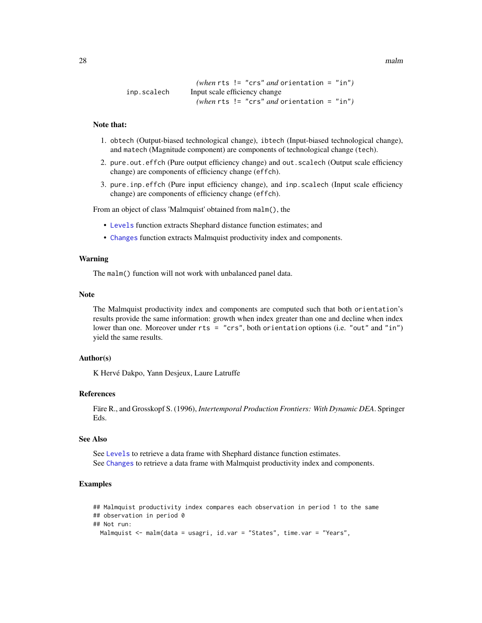<span id="page-27-0"></span>28 malm control of the control of the control of the control of the control of the control of the control of the control of the control of the control of the control of the control of the control of the control of the cont

```
(when rts != "crs" and orientation = "in")
inp.scalech Input scale efficiency change
                  (when rts != "crs" and orientation = "in")
```
#### Note that:

- 1. obtech (Output-biased technological change), ibtech (Input-biased technological change), and matech (Magnitude component) are components of technological change (tech).
- 2. pure.out.effch (Pure output efficiency change) and out.scalech (Output scale efficiency change) are components of efficiency change (effch).
- 3. pure.inp.effch (Pure input efficiency change), and inp.scalech (Input scale efficiency change) are components of efficiency change (effch).

From an object of class 'Malmquist' obtained from malm(), the

- [Levels](#page-19-1) function extracts Shephard distance function estimates; and
- [Changes](#page-1-1) function extracts Malmquist productivity index and components.

#### Warning

The malm() function will not work with unbalanced panel data.

#### Note

The Malmquist productivity index and components are computed such that both orientation's results provide the same information: growth when index greater than one and decline when index lower than one. Moreover under rts = "crs", both orientation options (i.e. "out" and "in") yield the same results.

#### Author(s)

K Hervé Dakpo, Yann Desjeux, Laure Latruffe

#### References

Färe R., and Grosskopf S. (1996), *Intertemporal Production Frontiers: With Dynamic DEA*. Springer Eds.

#### See Also

See [Levels](#page-19-1) to retrieve a data frame with Shephard distance function estimates. See [Changes](#page-1-1) to retrieve a data frame with Malmquist productivity index and components.

#### Examples

```
## Malmquist productivity index compares each observation in period 1 to the same
## observation in period 0
## Not run:
 Malmquist <- malm(data = usagri, id.var = "States", time.var = "Years",
```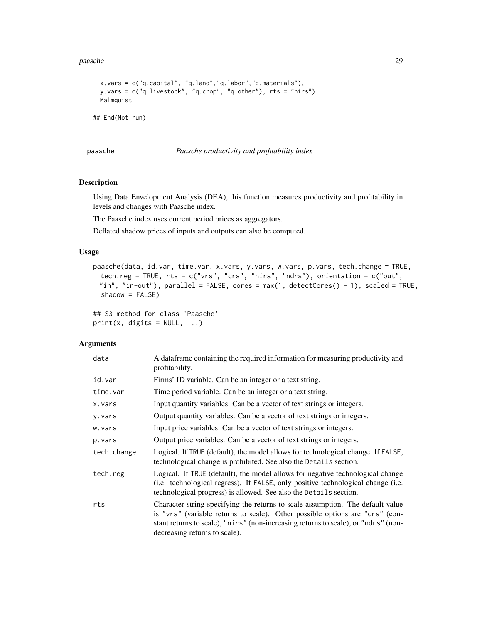<span id="page-28-0"></span>paasche 29

```
x.vars = c("q.capital", "q.land","q.labor","q.materials"),
 y.vars = c("q.livestock", "q.crop", "q.other"), rts = "nirs")
 Malmquist
## End(Not run)
```
<span id="page-28-1"></span>paasche *Paasche productivity and profitability index*

#### Description

Using Data Envelopment Analysis (DEA), this function measures productivity and profitability in levels and changes with Paasche index.

The Paasche index uses current period prices as aggregators.

Deflated shadow prices of inputs and outputs can also be computed.

#### Usage

```
paasche(data, id.var, time.var, x.vars, y.vars, w.vars, p.vars, tech.change = TRUE,
 tech.reg = TRUE, rts = c("vrs", "crs", "nirs", "ndrs"), orientation = c("out",
 "in", "in-out"), parallel = FALSE, cores = max(1, detectCores() - 1), scaled = TRUE,
  shadow = FALSE)
```

```
## S3 method for class 'Paasche'
print(x, \text{ digits} = NULL, ...)
```
#### Arguments

| data        | A dataframe containing the required information for measuring productivity and<br>profitability.                                                                                                                                                                                      |
|-------------|---------------------------------------------------------------------------------------------------------------------------------------------------------------------------------------------------------------------------------------------------------------------------------------|
| id.var      | Firms' ID variable. Can be an integer or a text string.                                                                                                                                                                                                                               |
| time.var    | Time period variable. Can be an integer or a text string.                                                                                                                                                                                                                             |
| x.vars      | Input quantity variables. Can be a vector of text strings or integers.                                                                                                                                                                                                                |
| y.vars      | Output quantity variables. Can be a vector of text strings or integers.                                                                                                                                                                                                               |
| w.vars      | Input price variables. Can be a vector of text strings or integers.                                                                                                                                                                                                                   |
| p.vars      | Output price variables. Can be a vector of text strings or integers.                                                                                                                                                                                                                  |
| tech.change | Logical. If TRUE (default), the model allows for technological change. If FALSE,<br>technological change is prohibited. See also the Details section.                                                                                                                                 |
| tech.reg    | Logical. If TRUE (default), the model allows for negative technological change<br>(i.e. technological regress). If FALSE, only positive technological change (i.e.<br>technological progress) is allowed. See also the Details section.                                               |
| rts         | Character string specifying the returns to scale assumption. The default value<br>is "vrs" (variable returns to scale). Other possible options are "crs" (con-<br>stant returns to scale), "nirs" (non-increasing returns to scale), or "ndrs" (non-<br>decreasing returns to scale). |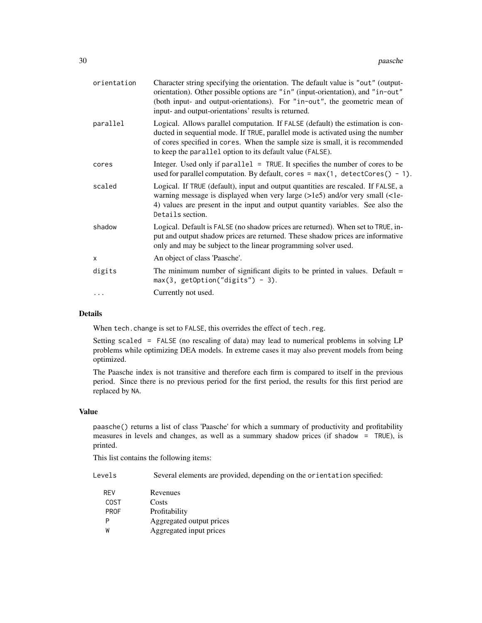| orientation | Character string specifying the orientation. The default value is "out" (output-<br>orientation). Other possible options are "in" (input-orientation), and "in-out"<br>(both input- and output-orientations). For "in-out", the geometric mean of<br>input- and output-orientations' results is returned.        |
|-------------|------------------------------------------------------------------------------------------------------------------------------------------------------------------------------------------------------------------------------------------------------------------------------------------------------------------|
| parallel    | Logical. Allows parallel computation. If FALSE (default) the estimation is con-<br>ducted in sequential mode. If TRUE, parallel mode is activated using the number<br>of cores specified in cores. When the sample size is small, it is recommended<br>to keep the parallel option to its default value (FALSE). |
| cores       | Integer. Used only if parallel = TRUE. It specifies the number of cores to be<br>used for parallel computation. By default, cores = $max(1, detectCores() - 1)$ .                                                                                                                                                |
| scaled      | Logical. If TRUE (default), input and output quantities are rescaled. If FALSE, a<br>warning message is displayed when very large (>1e5) and/or very small (<1e-<br>4) values are present in the input and output quantity variables. See also the<br>Details section.                                           |
| shadow      | Logical. Default is FALSE (no shadow prices are returned). When set to TRUE, in-<br>put and output shadow prices are returned. These shadow prices are informative<br>only and may be subject to the linear programming solver used.                                                                             |
| $\times$    | An object of class 'Paasche'.                                                                                                                                                                                                                                                                                    |
| digits      | The minimum number of significant digits to be printed in values. Default $=$<br>$max(3, getOption("digits") - 3).$                                                                                                                                                                                              |
|             | Currently not used.                                                                                                                                                                                                                                                                                              |
|             |                                                                                                                                                                                                                                                                                                                  |

#### Details

When tech.change is set to FALSE, this overrides the effect of tech.reg.

Setting scaled = FALSE (no rescaling of data) may lead to numerical problems in solving LP problems while optimizing DEA models. In extreme cases it may also prevent models from being optimized.

The Paasche index is not transitive and therefore each firm is compared to itself in the previous period. Since there is no previous period for the first period, the results for this first period are replaced by NA.

#### Value

paasche() returns a list of class 'Paasche' for which a summary of productivity and profitability measures in levels and changes, as well as a summary shadow prices (if shadow = TRUE), is printed.

This list contains the following items:

Levels Several elements are provided, depending on the orientation specified:

REV Revenues COST Costs PROF Profitability P Aggregated output prices W Aggregated input prices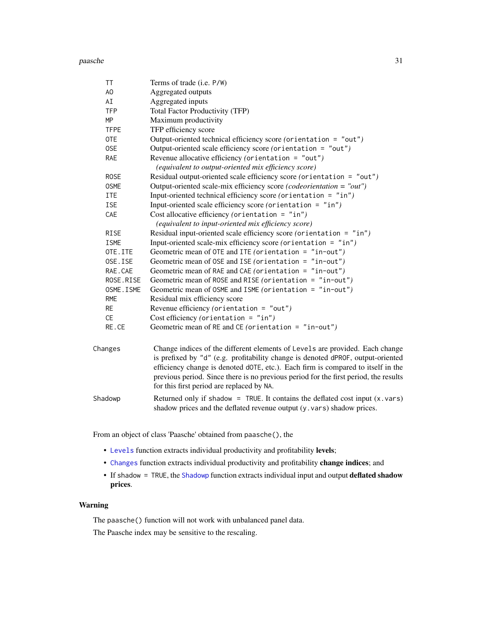#### <span id="page-30-0"></span>paasche 31 aastal eeuw aastal eeuw aastal eeuw aastal eeuw aastal eeuw aastal eeuw aastal eeuw aastal eeuw aastal eeuw aastal eeuw aastal eeuw aastal eeuw aastal eeuw aastal eeuw aastal eeuw aastal eeuw aastal eeuw aastal

| ΤT          | Terms of trade (i.e. P/W)                                                                                                                                                                                             |
|-------------|-----------------------------------------------------------------------------------------------------------------------------------------------------------------------------------------------------------------------|
| AO          | Aggregated outputs                                                                                                                                                                                                    |
| AI          | Aggregated inputs                                                                                                                                                                                                     |
| <b>TFP</b>  | <b>Total Factor Productivity (TFP)</b>                                                                                                                                                                                |
| MP          | Maximum productivity                                                                                                                                                                                                  |
| <b>TFPE</b> | TFP efficiency score                                                                                                                                                                                                  |
| <b>OTE</b>  | Output-oriented technical efficiency score (orientation = "out")                                                                                                                                                      |
| 0SE         | Output-oriented scale efficiency score (orientation = "out")                                                                                                                                                          |
| RAE         | Revenue allocative efficiency (orientation = "out")                                                                                                                                                                   |
|             | (equivalent to output-oriented mix efficiency score)                                                                                                                                                                  |
| <b>ROSE</b> | Residual output-oriented scale efficiency score (orientation = "out")                                                                                                                                                 |
| <b>OSME</b> | Output-oriented scale-mix efficiency score (codeorientation = "out")                                                                                                                                                  |
| ITE         | Input-oriented technical efficiency score (orientation = "in")                                                                                                                                                        |
| ISE         | Input-oriented scale efficiency score (orientation = $"in")$                                                                                                                                                          |
| CAE         | Cost allocative efficiency (orientation = $"in")$                                                                                                                                                                     |
|             | (equivalent to input-oriented mix efficiency score)                                                                                                                                                                   |
| <b>RISE</b> | Residual input-oriented scale efficiency score (orientation = "in")                                                                                                                                                   |
| <b>ISME</b> | Input-oriented scale-mix efficiency score (orientation = "in")                                                                                                                                                        |
| OTE.ITE     | Geometric mean of OTE and ITE (orientation = $"in-out"$ )                                                                                                                                                             |
| OSE.ISE     | Geometric mean of OSE and ISE (orientation = "in-out")                                                                                                                                                                |
| RAE.CAE     | Geometric mean of RAE and CAE (orientation = "in-out")                                                                                                                                                                |
| ROSE.RISE   | Geometric mean of ROSE and RISE (orientation = "in-out")                                                                                                                                                              |
| OSME. ISME  | Geometric mean of OSME and ISME (orientation = $"in-out"$ )                                                                                                                                                           |
| <b>RME</b>  | Residual mix efficiency score                                                                                                                                                                                         |
| <b>RE</b>   | Revenue efficiency (orientation = $"out")$                                                                                                                                                                            |
| <b>CE</b>   | Cost efficiency (orientation = $"in")$                                                                                                                                                                                |
| RE.CE       | Geometric mean of RE and CE (orientation = $"in-out"$ )                                                                                                                                                               |
| Changes     | Change indices of the different elements of Levels are provided. Each change<br>is prefixed by "d" (e.g. profitability change is denoted dPROF, output-oriented                                                       |
|             | efficiency change is denoted dOTE, etc.). Each firm is compared to itself in the<br>previous period. Since there is no previous period for the first period, the results<br>for this first period are replaced by NA. |

Shadowp Returned only if shadow = TRUE. It contains the deflated cost input  $(x, vars)$ shadow prices and the deflated revenue output (y.vars) shadow prices.

From an object of class 'Paasche' obtained from paasche(), the

- [Levels](#page-19-1) function extracts individual productivity and profitability levels;
- [Changes](#page-1-1) function extracts individual productivity and profitability change indices; and
- If shadow = TRUE, the [Shadowp](#page-32-1) function extracts individual input and output deflated shadow prices.

#### Warning

The paasche() function will not work with unbalanced panel data.

The Paasche index may be sensitive to the rescaling.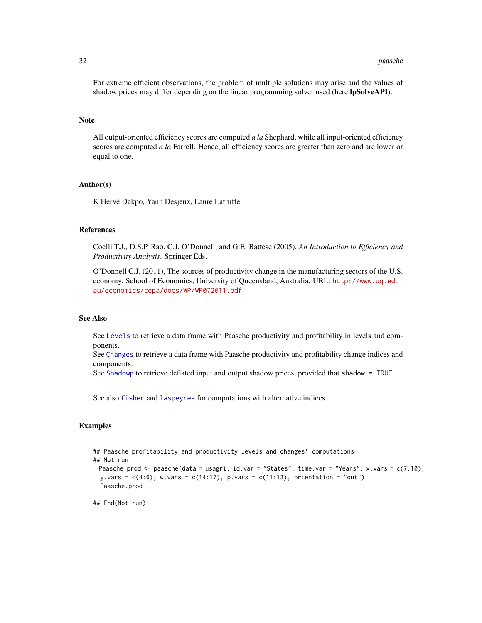<span id="page-31-0"></span>For extreme efficient observations, the problem of multiple solutions may arise and the values of shadow prices may differ depending on the linear programming solver used (here lpSolveAPI).

#### Note

All output-oriented efficiency scores are computed *a la* Shephard, while all input-oriented efficiency scores are computed *a la* Farrell. Hence, all efficiency scores are greater than zero and are lower or equal to one.

#### Author(s)

K Hervé Dakpo, Yann Desjeux, Laure Latruffe

#### References

Coelli T.J., D.S.P. Rao, C.J. O'Donnell, and G.E. Battese (2005), *An Introduction to Efficiency and Productivity Analysis*. Springer Eds.

O'Donnell C.J. (2011), The sources of productivity change in the manufacturing sectors of the U.S. economy. School of Economics, University of Queensland, Australia. URL: [http://www.uq.edu.](http://www.uq.edu.au/economics/cepa/docs/WP/WP072011.pdf) [au/economics/cepa/docs/WP/WP072011.pdf](http://www.uq.edu.au/economics/cepa/docs/WP/WP072011.pdf)

#### See Also

See [Levels](#page-19-1) to retrieve a data frame with Paasche productivity and profitability in levels and components.

See [Changes](#page-1-1) to retrieve a data frame with Paasche productivity and profitability change indices and components.

See [Shadowp](#page-32-1) to retrieve deflated input and output shadow prices, provided that shadow = TRUE.

See also [fisher](#page-7-1) and [laspeyres](#page-15-1) for computations with alternative indices.

#### Examples

```
## Paasche profitability and productivity levels and changes' computations
## Not run:
 Paasche.prod <- paasche(data = usagri, id.var = "States", time.var = "Years", x.vars = c(7:10),
 y.vars = c(4:6), w.vars = c(14:17), p.vars = c(11:13), orientation = "out")
 Paasche.prod
```
## End(Not run)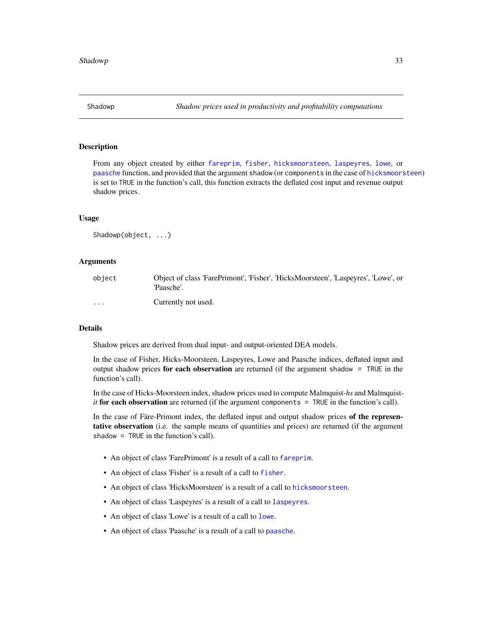<span id="page-32-1"></span><span id="page-32-0"></span>

#### **Description**

From any object created by either [fareprim](#page-3-1), [fisher](#page-7-1), [hicksmoorsteen](#page-10-1), [laspeyres](#page-15-1), [lowe](#page-21-1), or [paasche](#page-28-1) function, and provided that the argument shadow (or components in the case of [hicksmoorsteen](#page-10-1)) is set to TRUE in the function's call, this function extracts the deflated cost input and revenue output shadow prices.

#### Usage

Shadowp(object, ...)

#### Arguments

| object   | Object of class 'FarePrimont', 'Fisher', 'HicksMoorsteen', 'Laspeyres', 'Lowe', or<br>'Paasche'. |
|----------|--------------------------------------------------------------------------------------------------|
| $\cdots$ | Currently not used.                                                                              |

#### Details

Shadow prices are derived from dual input- and output-oriented DEA models.

In the case of Fisher, Hicks-Moorsteen, Laspeyres, Lowe and Paasche indices, deflated input and output shadow prices for each observation are returned (if the argument shadow  $=$  TRUE in the function's call).

In the case of Hicks-Moorsteen index, shadow prices used to compute Malmquist-*hs* and Malmquist*it* for each observation are returned (if the argument components = TRUE in the function's call).

In the case of Färe-Primont index, the deflated input and output shadow prices of the representative observation (i.e. the sample means of quantities and prices) are returned (if the argument shadow = TRUE in the function's call).

- An object of class 'FarePrimont' is a result of a call to [fareprim](#page-3-1).
- An object of class 'Fisher' is a result of a call to [fisher](#page-7-1).
- An object of class 'HicksMoorsteen' is a result of a call to [hicksmoorsteen](#page-10-1).
- An object of class 'Laspeyres' is a result of a call to [laspeyres](#page-15-1).
- An object of class 'Lowe' is a result of a call to [lowe](#page-21-1).
- An object of class 'Paasche' is a result of a call to [paasche](#page-28-1).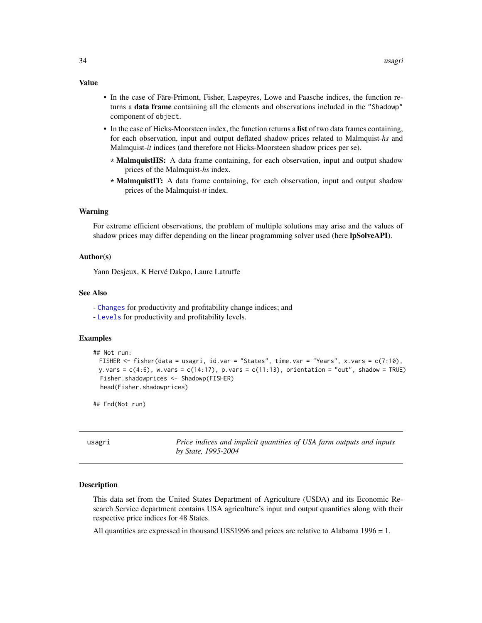- In the case of Färe-Primont, Fisher, Laspeyres, Lowe and Paasche indices, the function returns a data frame containing all the elements and observations included in the "Shadowp" component of object.
- In the case of Hicks-Moorsteen index, the function returns a list of two data frames containing, for each observation, input and output deflated shadow prices related to Malmquist-*hs* and Malmquist-*it* indices (and therefore not Hicks-Moorsteen shadow prices per se).
	- \* MalmquistHS: A data frame containing, for each observation, input and output shadow prices of the Malmquist-*hs* index.
	- \* MalmquistIT: A data frame containing, for each observation, input and output shadow prices of the Malmquist-*it* index.

#### Warning

For extreme efficient observations, the problem of multiple solutions may arise and the values of shadow prices may differ depending on the linear programming solver used (here lpSolveAPI).

#### Author(s)

Yann Desjeux, K Hervé Dakpo, Laure Latruffe

#### See Also

- [Changes](#page-1-1) for productivity and profitability change indices; and
- [Levels](#page-19-1) for productivity and profitability levels.

#### Examples

```
## Not run:
 FISHER <- fisher(data = usagri, id.var = "States", time.var = "Years", x.vars = c(7:10),
 y.vars = c(4:6), w.vars = c(14:17), p.vars = c(11:13), orientation = "out", shadow = TRUE)
 Fisher.shadowprices <- Shadowp(FISHER)
 head(Fisher.shadowprices)
```
## End(Not run)

usagri *Price indices and implicit quantities of USA farm outputs and inputs by State, 1995-2004*

#### **Description**

This data set from the United States Department of Agriculture (USDA) and its Economic Research Service department contains USA agriculture's input and output quantities along with their respective price indices for 48 States.

All quantities are expressed in thousand US\$1996 and prices are relative to Alabama 1996 = 1.

#### <span id="page-33-0"></span>Value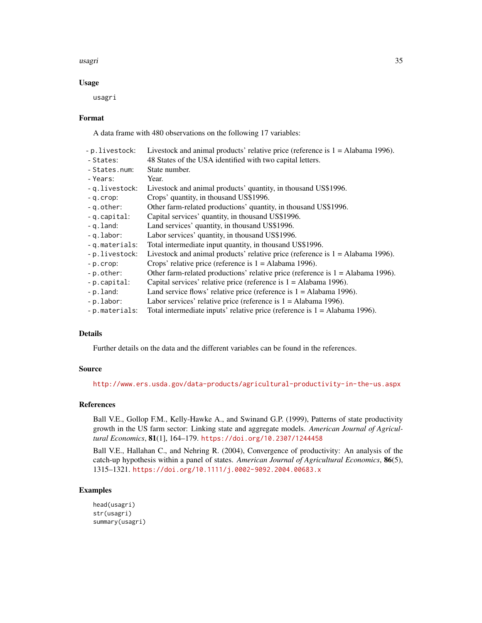#### usagri 35

#### Usage

usagri

#### Format

A data frame with 480 observations on the following 17 variables:

| Livestock and animal products' relative price (reference is $1 =$ Alabama 1996).  |
|-----------------------------------------------------------------------------------|
| 48 States of the USA identified with two capital letters.                         |
| State number.                                                                     |
| Year.                                                                             |
| Livestock and animal products' quantity, in thousand US\$1996.                    |
| Crops' quantity, in thousand US\$1996.                                            |
| Other farm-related productions' quantity, in thousand US\$1996.                   |
| Capital services' quantity, in thousand US\$1996.                                 |
| Land services' quantity, in thousand US\$1996.                                    |
| Labor services' quantity, in thousand US\$1996.                                   |
| Total intermediate input quantity, in thousand US\$1996.                          |
| Livestock and animal products' relative price (reference is $1 =$ Alabama 1996).  |
| Crops' relative price (reference is $1 =$ Alabama 1996).                          |
| Other farm-related productions' relative price (reference is $1 =$ Alabama 1996). |
| Capital services' relative price (reference is $1 =$ Alabama 1996).               |
| Land service flows' relative price (reference is $1 =$ Alabama 1996).             |
| Labor services' relative price (reference is $1 =$ Alabama 1996).                 |
| Total intermediate inputs' relative price (reference is $1 =$ Alabama 1996).      |
|                                                                                   |

#### Details

Further details on the data and the different variables can be found in the references.

#### Source

<http://www.ers.usda.gov/data-products/agricultural-productivity-in-the-us.aspx>

#### References

Ball V.E., Gollop F.M., Kelly-Hawke A., and Swinand G.P. (1999), Patterns of state productivity growth in the US farm sector: Linking state and aggregate models. *American Journal of Agricultural Economics*, 81(1], 164–179. <https://doi.org/10.2307/1244458>

Ball V.E., Hallahan C., and Nehring R. (2004), Convergence of productivity: An analysis of the catch-up hypothesis within a panel of states. *American Journal of Agricultural Economics*, 86(5), 1315–1321. <https://doi.org/10.1111/j.0002-9092.2004.00683.x>

#### Examples

```
head(usagri)
str(usagri)
summary(usagri)
```